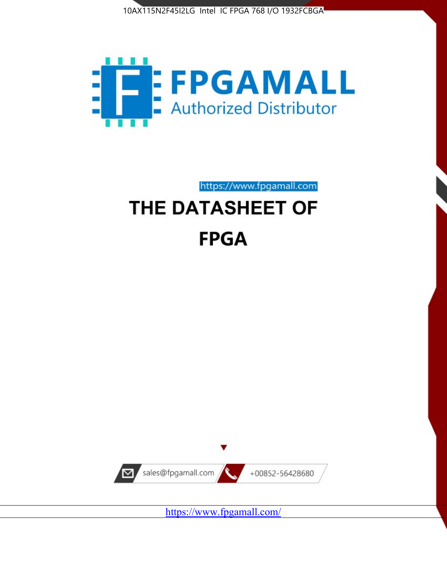



https://www.fpgamall.com

# THE DATASHEET OF **FPGA**



<https://www.fpgamall.com/>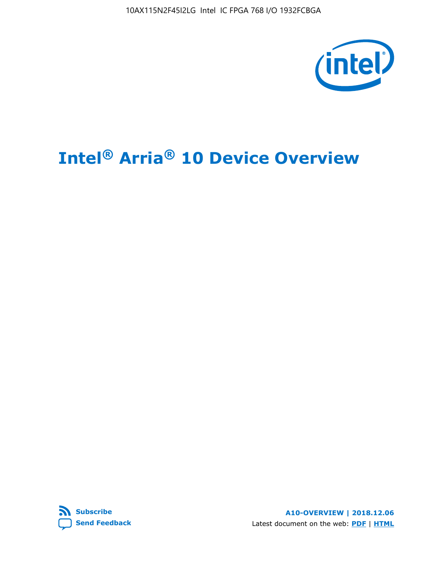10AX115N2F45I2LG Intel IC FPGA 768 I/O 1932FCBGA



# **Intel® Arria® 10 Device Overview**



**A10-OVERVIEW | 2018.12.06** Latest document on the web: **[PDF](https://www.intel.com/content/dam/www/programmable/us/en/pdfs/literature/hb/arria-10/a10_overview.pdf)** | **[HTML](https://www.intel.com/content/www/us/en/programmable/documentation/sam1403480274650.html)**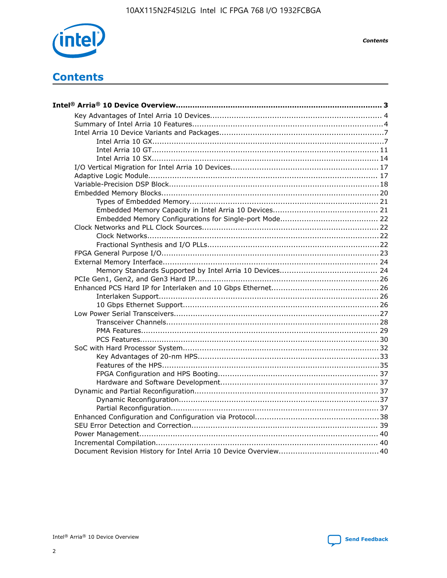

**Contents** 

# **Contents**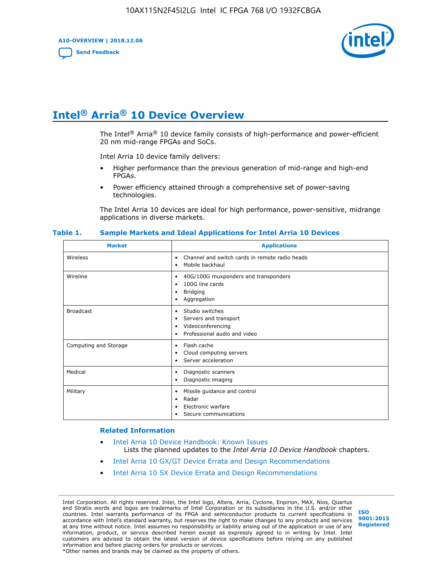**A10-OVERVIEW | 2018.12.06**

**[Send Feedback](mailto:FPGAtechdocfeedback@intel.com?subject=Feedback%20on%20Intel%20Arria%2010%20Device%20Overview%20(A10-OVERVIEW%202018.12.06)&body=We%20appreciate%20your%20feedback.%20In%20your%20comments,%20also%20specify%20the%20page%20number%20or%20paragraph.%20Thank%20you.)**



# **Intel® Arria® 10 Device Overview**

The Intel<sup>®</sup> Arria<sup>®</sup> 10 device family consists of high-performance and power-efficient 20 nm mid-range FPGAs and SoCs.

Intel Arria 10 device family delivers:

- Higher performance than the previous generation of mid-range and high-end FPGAs.
- Power efficiency attained through a comprehensive set of power-saving technologies.

The Intel Arria 10 devices are ideal for high performance, power-sensitive, midrange applications in diverse markets.

| <b>Market</b>         | <b>Applications</b>                                                                                               |
|-----------------------|-------------------------------------------------------------------------------------------------------------------|
| Wireless              | Channel and switch cards in remote radio heads<br>٠<br>Mobile backhaul<br>٠                                       |
| Wireline              | 40G/100G muxponders and transponders<br>٠<br>100G line cards<br>٠<br><b>Bridging</b><br>٠<br>Aggregation<br>٠     |
| <b>Broadcast</b>      | Studio switches<br>٠<br>Servers and transport<br>٠<br>Videoconferencing<br>٠<br>Professional audio and video<br>٠ |
| Computing and Storage | Flash cache<br>٠<br>Cloud computing servers<br>٠<br>Server acceleration<br>٠                                      |
| Medical               | Diagnostic scanners<br>٠<br>Diagnostic imaging<br>٠                                                               |
| Military              | Missile guidance and control<br>٠<br>Radar<br>٠<br>Electronic warfare<br>٠<br>Secure communications<br>٠          |

#### **Table 1. Sample Markets and Ideal Applications for Intel Arria 10 Devices**

#### **Related Information**

- [Intel Arria 10 Device Handbook: Known Issues](http://www.altera.com/support/kdb/solutions/rd07302013_646.html) Lists the planned updates to the *Intel Arria 10 Device Handbook* chapters.
- [Intel Arria 10 GX/GT Device Errata and Design Recommendations](https://www.intel.com/content/www/us/en/programmable/documentation/agz1493851706374.html#yqz1494433888646)
- [Intel Arria 10 SX Device Errata and Design Recommendations](https://www.intel.com/content/www/us/en/programmable/documentation/cru1462832385668.html#cru1462832558642)

Intel Corporation. All rights reserved. Intel, the Intel logo, Altera, Arria, Cyclone, Enpirion, MAX, Nios, Quartus and Stratix words and logos are trademarks of Intel Corporation or its subsidiaries in the U.S. and/or other countries. Intel warrants performance of its FPGA and semiconductor products to current specifications in accordance with Intel's standard warranty, but reserves the right to make changes to any products and services at any time without notice. Intel assumes no responsibility or liability arising out of the application or use of any information, product, or service described herein except as expressly agreed to in writing by Intel. Intel customers are advised to obtain the latest version of device specifications before relying on any published information and before placing orders for products or services. \*Other names and brands may be claimed as the property of others.

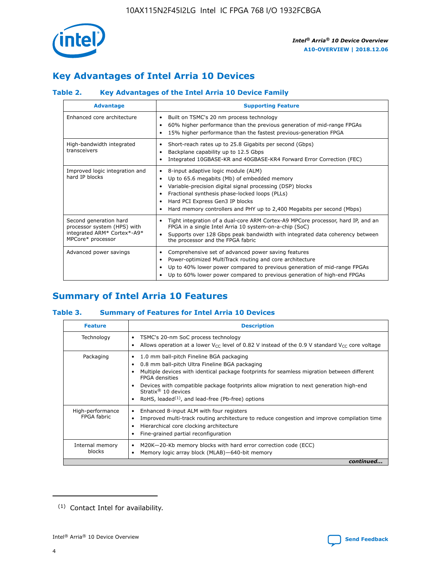

# **Key Advantages of Intel Arria 10 Devices**

# **Table 2. Key Advantages of the Intel Arria 10 Device Family**

| <b>Advantage</b>                                                                                          | <b>Supporting Feature</b>                                                                                                                                                                                                                                                                                                |  |  |  |  |  |
|-----------------------------------------------------------------------------------------------------------|--------------------------------------------------------------------------------------------------------------------------------------------------------------------------------------------------------------------------------------------------------------------------------------------------------------------------|--|--|--|--|--|
| Enhanced core architecture                                                                                | Built on TSMC's 20 nm process technology<br>٠<br>60% higher performance than the previous generation of mid-range FPGAs<br>٠<br>15% higher performance than the fastest previous-generation FPGA<br>٠                                                                                                                    |  |  |  |  |  |
| High-bandwidth integrated<br>transceivers                                                                 | Short-reach rates up to 25.8 Gigabits per second (Gbps)<br>٠<br>Backplane capability up to 12.5 Gbps<br>٠<br>Integrated 10GBASE-KR and 40GBASE-KR4 Forward Error Correction (FEC)<br>٠                                                                                                                                   |  |  |  |  |  |
| Improved logic integration and<br>hard IP blocks                                                          | 8-input adaptive logic module (ALM)<br>٠<br>Up to 65.6 megabits (Mb) of embedded memory<br>٠<br>Variable-precision digital signal processing (DSP) blocks<br>Fractional synthesis phase-locked loops (PLLs)<br>Hard PCI Express Gen3 IP blocks<br>Hard memory controllers and PHY up to 2,400 Megabits per second (Mbps) |  |  |  |  |  |
| Second generation hard<br>processor system (HPS) with<br>integrated ARM* Cortex*-A9*<br>MPCore* processor | Tight integration of a dual-core ARM Cortex-A9 MPCore processor, hard IP, and an<br>٠<br>FPGA in a single Intel Arria 10 system-on-a-chip (SoC)<br>Supports over 128 Gbps peak bandwidth with integrated data coherency between<br>$\bullet$<br>the processor and the FPGA fabric                                        |  |  |  |  |  |
| Advanced power savings                                                                                    | Comprehensive set of advanced power saving features<br>٠<br>Power-optimized MultiTrack routing and core architecture<br>٠<br>Up to 40% lower power compared to previous generation of mid-range FPGAs<br>Up to 60% lower power compared to previous generation of high-end FPGAs                                         |  |  |  |  |  |

# **Summary of Intel Arria 10 Features**

## **Table 3. Summary of Features for Intel Arria 10 Devices**

| <b>Feature</b>                  | <b>Description</b>                                                                                                                                                                                                                                                                                                                                                                                       |
|---------------------------------|----------------------------------------------------------------------------------------------------------------------------------------------------------------------------------------------------------------------------------------------------------------------------------------------------------------------------------------------------------------------------------------------------------|
| Technology                      | TSMC's 20-nm SoC process technology<br>٠<br>Allows operation at a lower $V_{\text{CC}}$ level of 0.82 V instead of the 0.9 V standard $V_{\text{CC}}$ core voltage                                                                                                                                                                                                                                       |
| Packaging                       | 1.0 mm ball-pitch Fineline BGA packaging<br>0.8 mm ball-pitch Ultra Fineline BGA packaging<br>Multiple devices with identical package footprints for seamless migration between different<br><b>FPGA</b> densities<br>Devices with compatible package footprints allow migration to next generation high-end<br>Stratix $\mathcal{R}$ 10 devices<br>RoHS, leaded $(1)$ , and lead-free (Pb-free) options |
| High-performance<br>FPGA fabric | Enhanced 8-input ALM with four registers<br>٠<br>Improved multi-track routing architecture to reduce congestion and improve compilation time<br>Hierarchical core clocking architecture<br>Fine-grained partial reconfiguration                                                                                                                                                                          |
| Internal memory<br>blocks       | M20K-20-Kb memory blocks with hard error correction code (ECC)<br>Memory logic array block (MLAB)-640-bit memory                                                                                                                                                                                                                                                                                         |
|                                 | continued                                                                                                                                                                                                                                                                                                                                                                                                |



<sup>(1)</sup> Contact Intel for availability.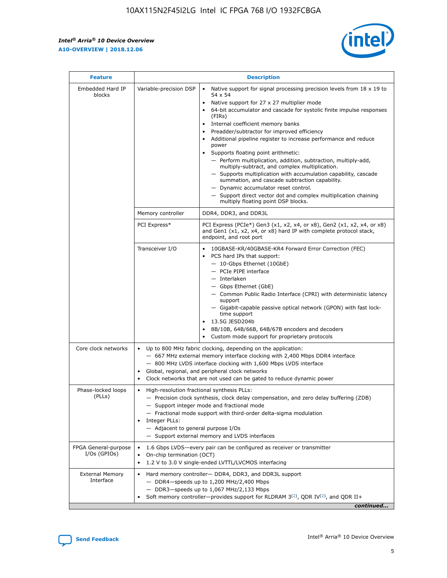r



| <b>Feature</b>                         |                                                                                                                | <b>Description</b>                                                                                                                                                                                                                                                                                                                                                                                                                                                                                                                                                                                                                                                                                                                                                                                                                     |  |  |  |  |  |  |
|----------------------------------------|----------------------------------------------------------------------------------------------------------------|----------------------------------------------------------------------------------------------------------------------------------------------------------------------------------------------------------------------------------------------------------------------------------------------------------------------------------------------------------------------------------------------------------------------------------------------------------------------------------------------------------------------------------------------------------------------------------------------------------------------------------------------------------------------------------------------------------------------------------------------------------------------------------------------------------------------------------------|--|--|--|--|--|--|
| Embedded Hard IP<br>blocks             | Variable-precision DSP                                                                                         | Native support for signal processing precision levels from $18 \times 19$ to<br>54 x 54<br>Native support for 27 x 27 multiplier mode<br>64-bit accumulator and cascade for systolic finite impulse responses<br>(FIRs)<br>Internal coefficient memory banks<br>$\bullet$<br>Preadder/subtractor for improved efficiency<br>Additional pipeline register to increase performance and reduce<br>power<br>Supports floating point arithmetic:<br>- Perform multiplication, addition, subtraction, multiply-add,<br>multiply-subtract, and complex multiplication.<br>- Supports multiplication with accumulation capability, cascade<br>summation, and cascade subtraction capability.<br>- Dynamic accumulator reset control.<br>- Support direct vector dot and complex multiplication chaining<br>multiply floating point DSP blocks. |  |  |  |  |  |  |
|                                        | Memory controller                                                                                              | DDR4, DDR3, and DDR3L                                                                                                                                                                                                                                                                                                                                                                                                                                                                                                                                                                                                                                                                                                                                                                                                                  |  |  |  |  |  |  |
|                                        | PCI Express*                                                                                                   | PCI Express (PCIe*) Gen3 (x1, x2, x4, or x8), Gen2 (x1, x2, x4, or x8)<br>and Gen1 (x1, x2, x4, or x8) hard IP with complete protocol stack,<br>endpoint, and root port                                                                                                                                                                                                                                                                                                                                                                                                                                                                                                                                                                                                                                                                |  |  |  |  |  |  |
|                                        | Transceiver I/O                                                                                                | 10GBASE-KR/40GBASE-KR4 Forward Error Correction (FEC)<br>PCS hard IPs that support:<br>$\bullet$<br>- 10-Gbps Ethernet (10GbE)<br>- PCIe PIPE interface<br>$-$ Interlaken<br>- Gbps Ethernet (GbE)<br>- Common Public Radio Interface (CPRI) with deterministic latency<br>support<br>- Gigabit-capable passive optical network (GPON) with fast lock-<br>time support<br>13.5G JESD204b<br>$\bullet$<br>8B/10B, 64B/66B, 64B/67B encoders and decoders<br>Custom mode support for proprietary protocols                                                                                                                                                                                                                                                                                                                               |  |  |  |  |  |  |
| Core clock networks                    | $\bullet$<br>$\bullet$                                                                                         | Up to 800 MHz fabric clocking, depending on the application:<br>- 667 MHz external memory interface clocking with 2,400 Mbps DDR4 interface<br>- 800 MHz LVDS interface clocking with 1,600 Mbps LVDS interface<br>Global, regional, and peripheral clock networks<br>Clock networks that are not used can be gated to reduce dynamic power                                                                                                                                                                                                                                                                                                                                                                                                                                                                                            |  |  |  |  |  |  |
| Phase-locked loops<br>(PLLs)           | High-resolution fractional synthesis PLLs:<br>$\bullet$<br>Integer PLLs:<br>- Adjacent to general purpose I/Os | - Precision clock synthesis, clock delay compensation, and zero delay buffering (ZDB)<br>- Support integer mode and fractional mode<br>- Fractional mode support with third-order delta-sigma modulation<br>- Support external memory and LVDS interfaces                                                                                                                                                                                                                                                                                                                                                                                                                                                                                                                                                                              |  |  |  |  |  |  |
| FPGA General-purpose<br>$I/Os$ (GPIOs) | On-chip termination (OCT)                                                                                      | 1.6 Gbps LVDS-every pair can be configured as receiver or transmitter<br>1.2 V to 3.0 V single-ended LVTTL/LVCMOS interfacing                                                                                                                                                                                                                                                                                                                                                                                                                                                                                                                                                                                                                                                                                                          |  |  |  |  |  |  |
| <b>External Memory</b><br>Interface    |                                                                                                                | Hard memory controller- DDR4, DDR3, and DDR3L support<br>$-$ DDR4 $-$ speeds up to 1,200 MHz/2,400 Mbps<br>- DDR3-speeds up to 1,067 MHz/2,133 Mbps<br>Soft memory controller—provides support for RLDRAM $3^{(2)}$ , QDR IV $^{(2)}$ , and QDR II+<br>continued                                                                                                                                                                                                                                                                                                                                                                                                                                                                                                                                                                       |  |  |  |  |  |  |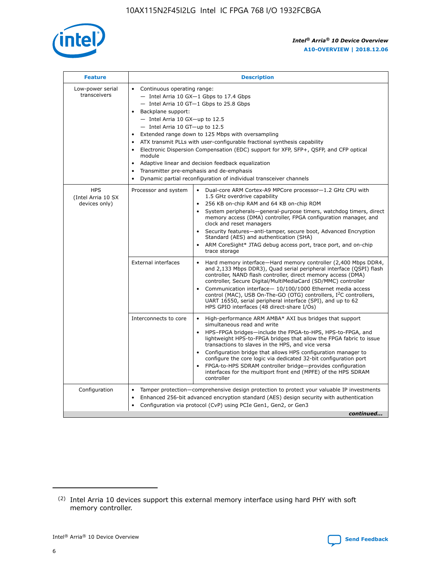

| <b>Feature</b>                                    | <b>Description</b>                                                                                                                                                                                                                                                                                                                                                                                                                                                                                                                                                                                                                         |
|---------------------------------------------------|--------------------------------------------------------------------------------------------------------------------------------------------------------------------------------------------------------------------------------------------------------------------------------------------------------------------------------------------------------------------------------------------------------------------------------------------------------------------------------------------------------------------------------------------------------------------------------------------------------------------------------------------|
| Low-power serial<br>transceivers                  | • Continuous operating range:<br>- Intel Arria 10 GX-1 Gbps to 17.4 Gbps<br>- Intel Arria 10 GT-1 Gbps to 25.8 Gbps<br>Backplane support:<br>$-$ Intel Arria 10 GX-up to 12.5<br>- Intel Arria 10 GT-up to 12.5<br>Extended range down to 125 Mbps with oversampling<br>ATX transmit PLLs with user-configurable fractional synthesis capability<br>Electronic Dispersion Compensation (EDC) support for XFP, SFP+, QSFP, and CFP optical<br>module<br>• Adaptive linear and decision feedback equalization<br>Transmitter pre-emphasis and de-emphasis<br>$\bullet$<br>Dynamic partial reconfiguration of individual transceiver channels |
| <b>HPS</b><br>(Intel Arria 10 SX<br>devices only) | Dual-core ARM Cortex-A9 MPCore processor-1.2 GHz CPU with<br>Processor and system<br>$\bullet$<br>1.5 GHz overdrive capability<br>256 KB on-chip RAM and 64 KB on-chip ROM<br>System peripherals-general-purpose timers, watchdog timers, direct<br>memory access (DMA) controller, FPGA configuration manager, and<br>clock and reset managers<br>Security features-anti-tamper, secure boot, Advanced Encryption<br>$\bullet$<br>Standard (AES) and authentication (SHA)<br>ARM CoreSight* JTAG debug access port, trace port, and on-chip<br>trace storage                                                                              |
|                                                   | <b>External interfaces</b><br>Hard memory interface-Hard memory controller (2,400 Mbps DDR4,<br>$\bullet$<br>and 2,133 Mbps DDR3), Quad serial peripheral interface (QSPI) flash<br>controller, NAND flash controller, direct memory access (DMA)<br>controller, Secure Digital/MultiMediaCard (SD/MMC) controller<br>Communication interface-10/100/1000 Ethernet media access<br>$\bullet$<br>control (MAC), USB On-The-GO (OTG) controllers, I <sup>2</sup> C controllers,<br>UART 16550, serial peripheral interface (SPI), and up to 62<br>HPS GPIO interfaces (48 direct-share I/Os)                                                 |
|                                                   | High-performance ARM AMBA* AXI bus bridges that support<br>Interconnects to core<br>$\bullet$<br>simultaneous read and write<br>HPS-FPGA bridges-include the FPGA-to-HPS, HPS-to-FPGA, and<br>$\bullet$<br>lightweight HPS-to-FPGA bridges that allow the FPGA fabric to issue<br>transactions to slaves in the HPS, and vice versa<br>Configuration bridge that allows HPS configuration manager to<br>configure the core logic via dedicated 32-bit configuration port<br>FPGA-to-HPS SDRAM controller bridge-provides configuration<br>interfaces for the multiport front end (MPFE) of the HPS SDRAM<br>controller                     |
| Configuration                                     | Tamper protection—comprehensive design protection to protect your valuable IP investments<br>Enhanced 256-bit advanced encryption standard (AES) design security with authentication<br>٠<br>Configuration via protocol (CvP) using PCIe Gen1, Gen2, or Gen3<br>continued                                                                                                                                                                                                                                                                                                                                                                  |

<sup>(2)</sup> Intel Arria 10 devices support this external memory interface using hard PHY with soft memory controller.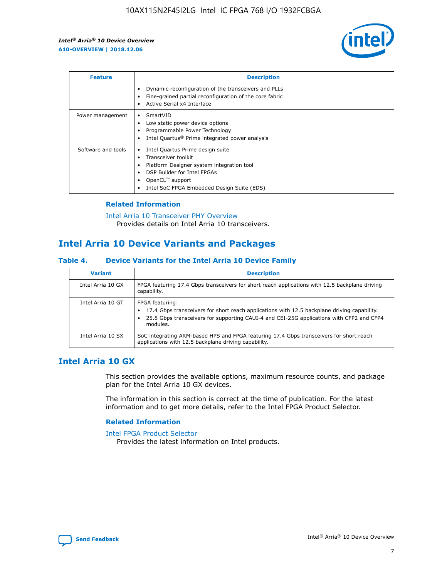

| <b>Feature</b>     | <b>Description</b>                                                                                                                                                                                               |
|--------------------|------------------------------------------------------------------------------------------------------------------------------------------------------------------------------------------------------------------|
|                    | Dynamic reconfiguration of the transceivers and PLLs<br>Fine-grained partial reconfiguration of the core fabric<br>Active Serial x4 Interface<br>$\bullet$                                                       |
| Power management   | SmartVID<br>Low static power device options<br>Programmable Power Technology<br>Intel Quartus <sup>®</sup> Prime integrated power analysis                                                                       |
| Software and tools | Intel Quartus Prime design suite<br>Transceiver toolkit<br>Platform Designer system integration tool<br>DSP Builder for Intel FPGAs<br>OpenCL <sup>™</sup> support<br>Intel SoC FPGA Embedded Design Suite (EDS) |

## **Related Information**

[Intel Arria 10 Transceiver PHY Overview](https://www.intel.com/content/www/us/en/programmable/documentation/nik1398707230472.html#nik1398706768037) Provides details on Intel Arria 10 transceivers.

# **Intel Arria 10 Device Variants and Packages**

#### **Table 4. Device Variants for the Intel Arria 10 Device Family**

| <b>Variant</b>    | <b>Description</b>                                                                                                                                                                                                     |
|-------------------|------------------------------------------------------------------------------------------------------------------------------------------------------------------------------------------------------------------------|
| Intel Arria 10 GX | FPGA featuring 17.4 Gbps transceivers for short reach applications with 12.5 backplane driving<br>capability.                                                                                                          |
| Intel Arria 10 GT | FPGA featuring:<br>17.4 Gbps transceivers for short reach applications with 12.5 backplane driving capability.<br>25.8 Gbps transceivers for supporting CAUI-4 and CEI-25G applications with CFP2 and CFP4<br>modules. |
| Intel Arria 10 SX | SoC integrating ARM-based HPS and FPGA featuring 17.4 Gbps transceivers for short reach<br>applications with 12.5 backplane driving capability.                                                                        |

# **Intel Arria 10 GX**

This section provides the available options, maximum resource counts, and package plan for the Intel Arria 10 GX devices.

The information in this section is correct at the time of publication. For the latest information and to get more details, refer to the Intel FPGA Product Selector.

#### **Related Information**

#### [Intel FPGA Product Selector](http://www.altera.com/products/selector/psg-selector.html) Provides the latest information on Intel products.

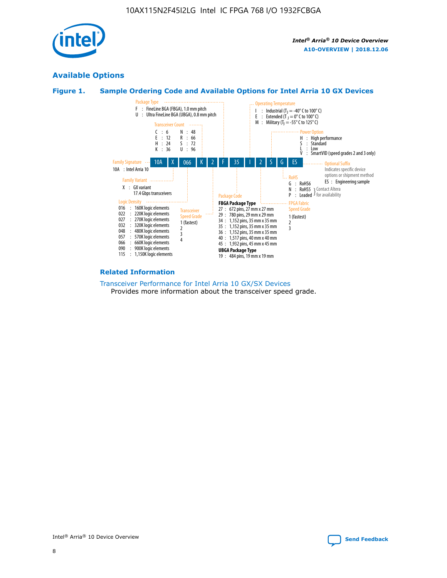

# **Available Options**





#### **Related Information**

[Transceiver Performance for Intel Arria 10 GX/SX Devices](https://www.intel.com/content/www/us/en/programmable/documentation/mcn1413182292568.html#mcn1413213965502) Provides more information about the transceiver speed grade.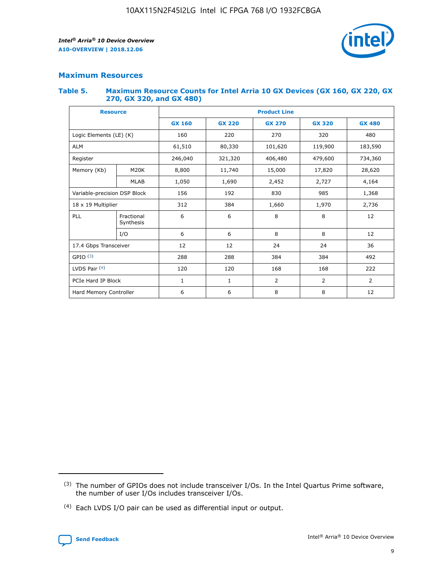

## **Maximum Resources**

#### **Table 5. Maximum Resource Counts for Intel Arria 10 GX Devices (GX 160, GX 220, GX 270, GX 320, and GX 480)**

| <b>Resource</b>              |                         | <b>Product Line</b> |                   |                    |                  |                |  |  |  |
|------------------------------|-------------------------|---------------------|-------------------|--------------------|------------------|----------------|--|--|--|
|                              |                         | <b>GX 160</b>       | <b>GX 220</b>     | <b>GX 270</b>      | <b>GX 320</b>    | <b>GX 480</b>  |  |  |  |
| Logic Elements (LE) (K)      |                         | 160                 | 220               | 270                | 320              | 480            |  |  |  |
| <b>ALM</b>                   |                         | 61,510              | 80,330            | 101,620            | 119,900          | 183,590        |  |  |  |
| Register                     |                         | 246,040             | 321,320           | 406,480<br>479,600 |                  | 734,360        |  |  |  |
| Memory (Kb)                  | M <sub>20</sub> K       | 8,800               | 11,740<br>15,000  |                    | 17,820<br>28,620 |                |  |  |  |
| <b>MLAB</b>                  |                         | 1,050               | 1,690             | 2,452              | 2,727            | 4,164          |  |  |  |
| Variable-precision DSP Block |                         | 156                 | 192<br>830<br>985 |                    |                  | 1,368          |  |  |  |
| 18 x 19 Multiplier           |                         | 312                 | 384               | 1,970<br>1,660     |                  | 2,736          |  |  |  |
| PLL                          | Fractional<br>Synthesis | 6                   | 6                 | 8                  | 8                | 12             |  |  |  |
|                              | I/O                     | 6                   | 6                 | 8                  | 8                | 12             |  |  |  |
| 17.4 Gbps Transceiver        |                         | 12                  | 12                | 24                 | 24               |                |  |  |  |
| GPIO <sup>(3)</sup>          |                         | 288                 | 288               | 384<br>384         |                  | 492            |  |  |  |
| LVDS Pair $(4)$              |                         | 120                 | 120               | 168                | 168              | 222            |  |  |  |
| PCIe Hard IP Block           |                         | 1                   | 1                 | 2                  | $\overline{2}$   | $\overline{2}$ |  |  |  |
| Hard Memory Controller       |                         | 6                   | 6                 | 8                  | 8                | 12             |  |  |  |

<sup>(4)</sup> Each LVDS I/O pair can be used as differential input or output.



<sup>(3)</sup> The number of GPIOs does not include transceiver I/Os. In the Intel Quartus Prime software, the number of user I/Os includes transceiver I/Os.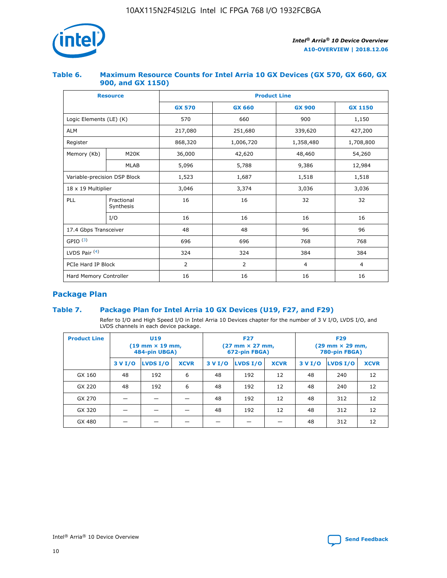

## **Table 6. Maximum Resource Counts for Intel Arria 10 GX Devices (GX 570, GX 660, GX 900, and GX 1150)**

|                              | <b>Resource</b>         | <b>Product Line</b> |               |                |                |  |  |  |
|------------------------------|-------------------------|---------------------|---------------|----------------|----------------|--|--|--|
|                              |                         | <b>GX 570</b>       | <b>GX 660</b> | <b>GX 900</b>  | <b>GX 1150</b> |  |  |  |
| Logic Elements (LE) (K)      |                         | 570                 | 660           | 900            | 1,150          |  |  |  |
| <b>ALM</b>                   |                         | 217,080             | 251,680       | 339,620        | 427,200        |  |  |  |
| Register                     |                         | 868,320             | 1,006,720     | 1,358,480      | 1,708,800      |  |  |  |
| Memory (Kb)                  | <b>M20K</b>             | 36,000              | 42,620        | 48,460         | 54,260         |  |  |  |
| <b>MLAB</b>                  |                         | 5,096               | 5,788         | 9,386          | 12,984         |  |  |  |
| Variable-precision DSP Block |                         | 1,523               | 1,687         | 1,518          | 1,518          |  |  |  |
| $18 \times 19$ Multiplier    |                         | 3,046               | 3,374         | 3,036          | 3,036          |  |  |  |
| PLL                          | Fractional<br>Synthesis | 16                  | 16            | 32             | 32             |  |  |  |
|                              | I/O                     | 16                  | 16            | 16             | 16             |  |  |  |
| 17.4 Gbps Transceiver        |                         | 48                  | 48            | 96             | 96             |  |  |  |
| GPIO <sup>(3)</sup>          |                         | 696                 | 696           | 768            | 768            |  |  |  |
| LVDS Pair $(4)$              |                         | 324                 | 324           | 384            | 384            |  |  |  |
| PCIe Hard IP Block           |                         | 2                   | 2             | $\overline{4}$ | $\overline{4}$ |  |  |  |
| Hard Memory Controller       |                         | 16                  | 16            | 16             | 16             |  |  |  |

# **Package Plan**

# **Table 7. Package Plan for Intel Arria 10 GX Devices (U19, F27, and F29)**

Refer to I/O and High Speed I/O in Intel Arria 10 Devices chapter for the number of 3 V I/O, LVDS I/O, and LVDS channels in each device package.

| <b>Product Line</b> | U <sub>19</sub><br>$(19 \text{ mm} \times 19 \text{ mm})$<br>484-pin UBGA) |          |             |         | <b>F27</b><br>(27 mm × 27 mm,<br>672-pin FBGA) |             | <b>F29</b><br>(29 mm × 29 mm,<br>780-pin FBGA) |          |             |  |
|---------------------|----------------------------------------------------------------------------|----------|-------------|---------|------------------------------------------------|-------------|------------------------------------------------|----------|-------------|--|
|                     | 3 V I/O                                                                    | LVDS I/O | <b>XCVR</b> | 3 V I/O | LVDS I/O                                       | <b>XCVR</b> | 3 V I/O                                        | LVDS I/O | <b>XCVR</b> |  |
| GX 160              | 48                                                                         | 192      | 6           | 48      | 192                                            | 12          | 48                                             | 240      | 12          |  |
| GX 220              | 48                                                                         | 192      | 6           | 48      | 192                                            | 12          | 48                                             | 240      | 12          |  |
| GX 270              |                                                                            |          |             | 48      | 192                                            | 12          | 48                                             | 312      | 12          |  |
| GX 320              |                                                                            |          |             | 48      | 192                                            | 12          | 48                                             | 312      | 12          |  |
| GX 480              |                                                                            |          |             |         |                                                |             | 48                                             | 312      | 12          |  |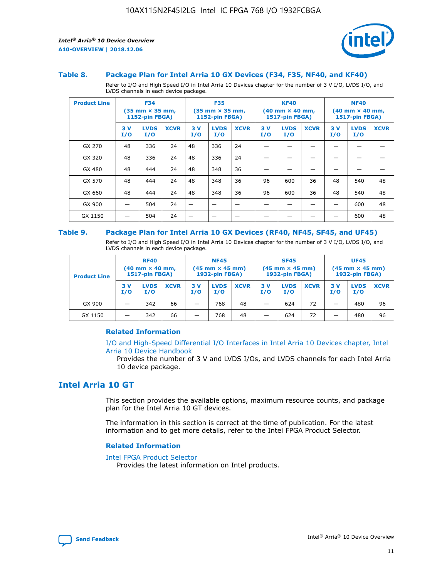

#### **Table 8. Package Plan for Intel Arria 10 GX Devices (F34, F35, NF40, and KF40)**

Refer to I/O and High Speed I/O in Intel Arria 10 Devices chapter for the number of 3 V I/O, LVDS I/O, and LVDS channels in each device package.

| <b>Product Line</b> | <b>F34</b><br>$(35 \text{ mm} \times 35 \text{ mm})$<br>1152-pin FBGA) |                    | <b>F35</b><br>$(35 \text{ mm} \times 35 \text{ mm})$<br><b>1152-pin FBGA)</b> |           | <b>KF40</b><br>$(40$ mm $\times$ 40 mm,<br>1517-pin FBGA) |             |           | <b>NF40</b><br>$(40$ mm $\times$ 40 mm,<br><b>1517-pin FBGA)</b> |             |            |                    |             |
|---------------------|------------------------------------------------------------------------|--------------------|-------------------------------------------------------------------------------|-----------|-----------------------------------------------------------|-------------|-----------|------------------------------------------------------------------|-------------|------------|--------------------|-------------|
|                     | 3V<br>I/O                                                              | <b>LVDS</b><br>I/O | <b>XCVR</b>                                                                   | 3V<br>I/O | <b>LVDS</b><br>I/O                                        | <b>XCVR</b> | 3V<br>I/O | <b>LVDS</b><br>I/O                                               | <b>XCVR</b> | 3 V<br>I/O | <b>LVDS</b><br>I/O | <b>XCVR</b> |
| GX 270              | 48                                                                     | 336                | 24                                                                            | 48        | 336                                                       | 24          |           |                                                                  |             |            |                    |             |
| GX 320              | 48                                                                     | 336                | 24                                                                            | 48        | 336                                                       | 24          |           |                                                                  |             |            |                    |             |
| GX 480              | 48                                                                     | 444                | 24                                                                            | 48        | 348                                                       | 36          |           |                                                                  |             |            |                    |             |
| GX 570              | 48                                                                     | 444                | 24                                                                            | 48        | 348                                                       | 36          | 96        | 600                                                              | 36          | 48         | 540                | 48          |
| GX 660              | 48                                                                     | 444                | 24                                                                            | 48        | 348                                                       | 36          | 96        | 600                                                              | 36          | 48         | 540                | 48          |
| GX 900              |                                                                        | 504                | 24                                                                            | -         |                                                           |             |           |                                                                  |             |            | 600                | 48          |
| GX 1150             |                                                                        | 504                | 24                                                                            |           |                                                           |             |           |                                                                  |             |            | 600                | 48          |

#### **Table 9. Package Plan for Intel Arria 10 GX Devices (RF40, NF45, SF45, and UF45)**

Refer to I/O and High Speed I/O in Intel Arria 10 Devices chapter for the number of 3 V I/O, LVDS I/O, and LVDS channels in each device package.

| <b>Product Line</b> | <b>RF40</b><br>$(40$ mm $\times$ 40 mm,<br>1517-pin FBGA) |                    |             | <b>NF45</b><br>$(45 \text{ mm} \times 45 \text{ mm})$<br><b>1932-pin FBGA)</b> |                    |             | <b>SF45</b><br>$(45 \text{ mm} \times 45 \text{ mm})$<br><b>1932-pin FBGA)</b> |                    |             | <b>UF45</b><br>$(45 \text{ mm} \times 45 \text{ mm})$<br><b>1932-pin FBGA)</b> |                    |             |
|---------------------|-----------------------------------------------------------|--------------------|-------------|--------------------------------------------------------------------------------|--------------------|-------------|--------------------------------------------------------------------------------|--------------------|-------------|--------------------------------------------------------------------------------|--------------------|-------------|
|                     | 3V<br>I/O                                                 | <b>LVDS</b><br>I/O | <b>XCVR</b> | 3 V<br>I/O                                                                     | <b>LVDS</b><br>I/O | <b>XCVR</b> | 3 V<br>I/O                                                                     | <b>LVDS</b><br>I/O | <b>XCVR</b> | 3V<br>I/O                                                                      | <b>LVDS</b><br>I/O | <b>XCVR</b> |
| GX 900              |                                                           | 342                | 66          | _                                                                              | 768                | 48          |                                                                                | 624                | 72          |                                                                                | 480                | 96          |
| GX 1150             |                                                           | 342                | 66          | _                                                                              | 768                | 48          |                                                                                | 624                | 72          |                                                                                | 480                | 96          |

## **Related Information**

[I/O and High-Speed Differential I/O Interfaces in Intel Arria 10 Devices chapter, Intel](https://www.intel.com/content/www/us/en/programmable/documentation/sam1403482614086.html#sam1403482030321) [Arria 10 Device Handbook](https://www.intel.com/content/www/us/en/programmable/documentation/sam1403482614086.html#sam1403482030321)

Provides the number of 3 V and LVDS I/Os, and LVDS channels for each Intel Arria 10 device package.

# **Intel Arria 10 GT**

This section provides the available options, maximum resource counts, and package plan for the Intel Arria 10 GT devices.

The information in this section is correct at the time of publication. For the latest information and to get more details, refer to the Intel FPGA Product Selector.

#### **Related Information**

#### [Intel FPGA Product Selector](http://www.altera.com/products/selector/psg-selector.html)

Provides the latest information on Intel products.

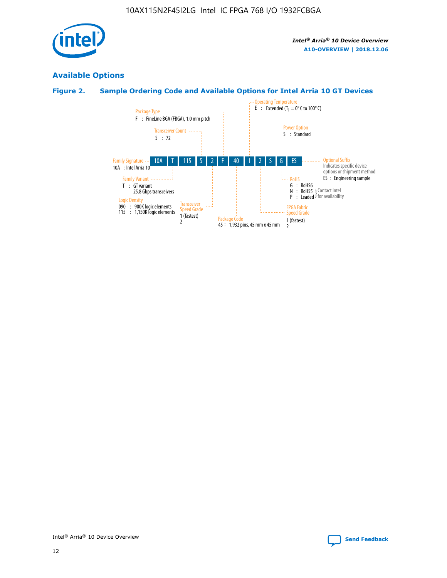

# **Available Options**

# **Figure 2. Sample Ordering Code and Available Options for Intel Arria 10 GT Devices**

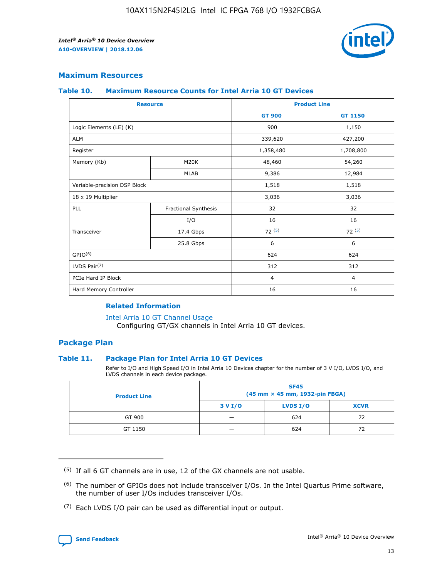

## **Maximum Resources**

#### **Table 10. Maximum Resource Counts for Intel Arria 10 GT Devices**

| <b>Resource</b>              |                      | <b>Product Line</b> |                |  |
|------------------------------|----------------------|---------------------|----------------|--|
|                              |                      | <b>GT 900</b>       | <b>GT 1150</b> |  |
| Logic Elements (LE) (K)      |                      | 900                 | 1,150          |  |
| <b>ALM</b>                   |                      | 339,620             | 427,200        |  |
| Register                     |                      | 1,358,480           | 1,708,800      |  |
| Memory (Kb)                  | M20K                 | 48,460              | 54,260         |  |
|                              | <b>MLAB</b>          | 9,386               | 12,984         |  |
| Variable-precision DSP Block |                      | 1,518               | 1,518          |  |
| 18 x 19 Multiplier           |                      | 3,036               | 3,036          |  |
| PLL                          | Fractional Synthesis | 32                  | 32             |  |
|                              | I/O                  | 16                  | 16             |  |
| Transceiver                  | 17.4 Gbps            | 72(5)               | 72(5)          |  |
|                              | 25.8 Gbps            | 6                   | 6              |  |
| GPIO <sup>(6)</sup>          |                      | 624                 | 624            |  |
| LVDS Pair $(7)$              |                      | 312                 | 312            |  |
| PCIe Hard IP Block           |                      | $\overline{4}$      | $\overline{4}$ |  |
| Hard Memory Controller       |                      | 16                  | 16             |  |

## **Related Information**

#### [Intel Arria 10 GT Channel Usage](https://www.intel.com/content/www/us/en/programmable/documentation/nik1398707230472.html#nik1398707008178)

Configuring GT/GX channels in Intel Arria 10 GT devices.

## **Package Plan**

## **Table 11. Package Plan for Intel Arria 10 GT Devices**

Refer to I/O and High Speed I/O in Intel Arria 10 Devices chapter for the number of 3 V I/O, LVDS I/O, and LVDS channels in each device package.

| <b>Product Line</b> | <b>SF45</b><br>(45 mm × 45 mm, 1932-pin FBGA) |                 |             |  |  |  |
|---------------------|-----------------------------------------------|-----------------|-------------|--|--|--|
|                     | 3 V I/O                                       | <b>LVDS I/O</b> | <b>XCVR</b> |  |  |  |
| GT 900              |                                               | 624             | 72          |  |  |  |
| GT 1150             |                                               | 624             | 72          |  |  |  |

<sup>(7)</sup> Each LVDS I/O pair can be used as differential input or output.



 $(5)$  If all 6 GT channels are in use, 12 of the GX channels are not usable.

<sup>(6)</sup> The number of GPIOs does not include transceiver I/Os. In the Intel Quartus Prime software, the number of user I/Os includes transceiver I/Os.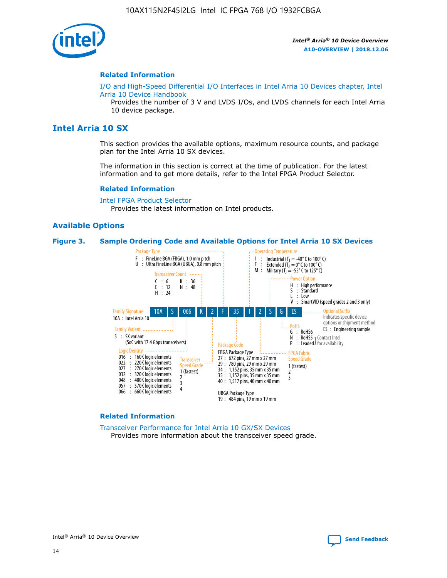

#### **Related Information**

[I/O and High-Speed Differential I/O Interfaces in Intel Arria 10 Devices chapter, Intel](https://www.intel.com/content/www/us/en/programmable/documentation/sam1403482614086.html#sam1403482030321) [Arria 10 Device Handbook](https://www.intel.com/content/www/us/en/programmable/documentation/sam1403482614086.html#sam1403482030321)

Provides the number of 3 V and LVDS I/Os, and LVDS channels for each Intel Arria 10 device package.

# **Intel Arria 10 SX**

This section provides the available options, maximum resource counts, and package plan for the Intel Arria 10 SX devices.

The information in this section is correct at the time of publication. For the latest information and to get more details, refer to the Intel FPGA Product Selector.

#### **Related Information**

[Intel FPGA Product Selector](http://www.altera.com/products/selector/psg-selector.html) Provides the latest information on Intel products.

#### **Available Options**

#### **Figure 3. Sample Ordering Code and Available Options for Intel Arria 10 SX Devices**



#### **Related Information**

[Transceiver Performance for Intel Arria 10 GX/SX Devices](https://www.intel.com/content/www/us/en/programmable/documentation/mcn1413182292568.html#mcn1413213965502) Provides more information about the transceiver speed grade.



Intel® Arria® 10 Device Overview **[Send Feedback](mailto:FPGAtechdocfeedback@intel.com?subject=Feedback%20on%20Intel%20Arria%2010%20Device%20Overview%20(A10-OVERVIEW%202018.12.06)&body=We%20appreciate%20your%20feedback.%20In%20your%20comments,%20also%20specify%20the%20page%20number%20or%20paragraph.%20Thank%20you.)**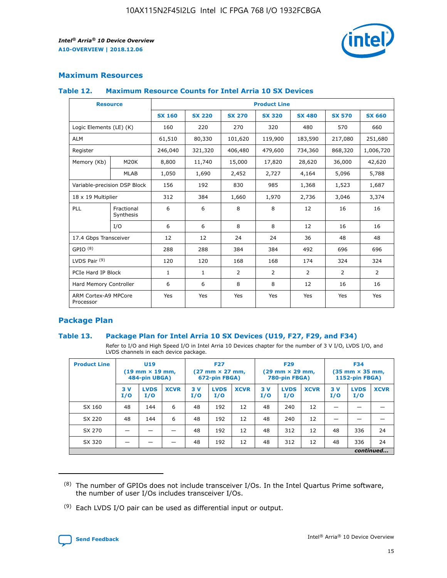

# **Maximum Resources**

## **Table 12. Maximum Resource Counts for Intel Arria 10 SX Devices**

| <b>Resource</b>                   |                         | <b>Product Line</b> |               |                |                |                |                |                |  |  |  |
|-----------------------------------|-------------------------|---------------------|---------------|----------------|----------------|----------------|----------------|----------------|--|--|--|
|                                   |                         | <b>SX 160</b>       | <b>SX 220</b> | <b>SX 270</b>  | <b>SX 320</b>  | <b>SX 480</b>  | <b>SX 570</b>  | <b>SX 660</b>  |  |  |  |
| Logic Elements (LE) (K)           |                         | 160                 | 220           | 270            | 320            | 480            | 570            | 660            |  |  |  |
| <b>ALM</b>                        |                         | 61,510              | 80,330        | 101,620        | 119,900        | 183,590        | 217,080        | 251,680        |  |  |  |
| Register                          |                         | 246,040             | 321,320       | 406,480        | 479,600        | 734,360        | 868,320        | 1,006,720      |  |  |  |
| Memory (Kb)                       | M <sub>20</sub> K       | 8,800               | 11,740        | 15,000         | 17,820         | 28,620         | 36,000         | 42,620         |  |  |  |
|                                   | <b>MLAB</b>             | 1,050               | 1,690         | 2,452          | 2,727          | 4,164          | 5,096          | 5,788          |  |  |  |
| Variable-precision DSP Block      |                         | 156                 | 192           | 830            | 985            | 1,368          | 1,523          | 1,687          |  |  |  |
| 18 x 19 Multiplier                |                         | 312                 | 384           | 1,660          | 1,970          | 2,736          | 3,046          | 3,374          |  |  |  |
| PLL                               | Fractional<br>Synthesis | 6                   | 6             | 8              | 8              | 12             | 16             | 16             |  |  |  |
|                                   | I/O                     | 6                   | 6             | 8              | 8              | 12             | 16             | 16             |  |  |  |
| 17.4 Gbps Transceiver             |                         | 12                  | 12            | 24             | 24             | 36             | 48             | 48             |  |  |  |
| GPIO <sup>(8)</sup>               |                         | 288                 | 288           | 384            | 384            | 492            | 696            | 696            |  |  |  |
| LVDS Pair $(9)$                   |                         | 120                 | 120           | 168            | 168            | 174            | 324            | 324            |  |  |  |
| PCIe Hard IP Block                |                         | $\mathbf{1}$        | $\mathbf{1}$  | $\overline{2}$ | $\overline{2}$ | $\overline{2}$ | $\overline{2}$ | $\overline{2}$ |  |  |  |
| Hard Memory Controller            |                         | 6                   | 6             | 8              | 8              | 12             | 16             | 16             |  |  |  |
| ARM Cortex-A9 MPCore<br>Processor |                         | Yes                 | Yes           | Yes            | Yes            | Yes            | Yes            | <b>Yes</b>     |  |  |  |

# **Package Plan**

## **Table 13. Package Plan for Intel Arria 10 SX Devices (U19, F27, F29, and F34)**

Refer to I/O and High Speed I/O in Intel Arria 10 Devices chapter for the number of 3 V I/O, LVDS I/O, and LVDS channels in each device package.

| <b>Product Line</b> | <b>U19</b><br>$(19$ mm $\times$ 19 mm,<br>484-pin UBGA) |                    |             | <b>F27</b><br>$(27 \text{ mm} \times 27 \text{ mm})$<br>672-pin FBGA) |                    | <b>F29</b><br>$(29 \text{ mm} \times 29 \text{ mm})$<br>780-pin FBGA) |           |                    | <b>F34</b><br>$(35 \text{ mm} \times 35 \text{ mm})$<br><b>1152-pin FBGA)</b> |           |                    |             |
|---------------------|---------------------------------------------------------|--------------------|-------------|-----------------------------------------------------------------------|--------------------|-----------------------------------------------------------------------|-----------|--------------------|-------------------------------------------------------------------------------|-----------|--------------------|-------------|
|                     | 3V<br>I/O                                               | <b>LVDS</b><br>I/O | <b>XCVR</b> | 3V<br>I/O                                                             | <b>LVDS</b><br>I/O | <b>XCVR</b>                                                           | 3V<br>I/O | <b>LVDS</b><br>I/O | <b>XCVR</b>                                                                   | 3V<br>I/O | <b>LVDS</b><br>I/O | <b>XCVR</b> |
| SX 160              | 48                                                      | 144                | 6           | 48                                                                    | 192                | 12                                                                    | 48        | 240                | 12                                                                            | -         |                    |             |
| SX 220              | 48                                                      | 144                | 6           | 48                                                                    | 192                | 12                                                                    | 48        | 240                | 12                                                                            |           |                    |             |
| SX 270              |                                                         |                    |             | 48                                                                    | 192                | 12                                                                    | 48        | 312                | 12                                                                            | 48        | 336                | 24          |
| SX 320              |                                                         |                    |             | 48                                                                    | 192                | 12                                                                    | 48        | 312                | 12                                                                            | 48        | 336                | 24          |
|                     | continued                                               |                    |             |                                                                       |                    |                                                                       |           |                    |                                                                               |           |                    |             |

 $(8)$  The number of GPIOs does not include transceiver I/Os. In the Intel Quartus Prime software, the number of user I/Os includes transceiver I/Os.

 $(9)$  Each LVDS I/O pair can be used as differential input or output.

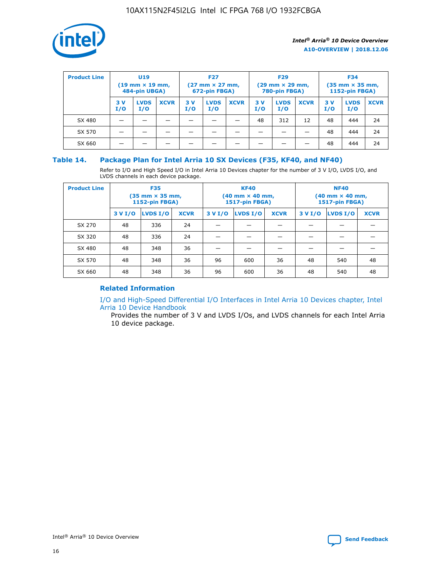

| <b>Product Line</b> | <b>U19</b><br>$(19 \text{ mm} \times 19 \text{ mm})$<br>484-pin UBGA) |                    | <b>F27</b><br>$(27 \text{ mm} \times 27 \text{ mm})$<br>672-pin FBGA) |           | <b>F29</b><br>$(29$ mm $\times$ 29 mm,<br>780-pin FBGA) |             |           | <b>F34</b><br>$(35$ mm $\times$ 35 mm,<br><b>1152-pin FBGA)</b> |             |           |                    |             |
|---------------------|-----------------------------------------------------------------------|--------------------|-----------------------------------------------------------------------|-----------|---------------------------------------------------------|-------------|-----------|-----------------------------------------------------------------|-------------|-----------|--------------------|-------------|
|                     | 3 V<br>I/O                                                            | <b>LVDS</b><br>I/O | <b>XCVR</b>                                                           | 3V<br>I/O | <b>LVDS</b><br>I/O                                      | <b>XCVR</b> | 3V<br>I/O | <b>LVDS</b><br>I/O                                              | <b>XCVR</b> | 3V<br>I/O | <b>LVDS</b><br>I/O | <b>XCVR</b> |
| SX 480              |                                                                       |                    |                                                                       |           |                                                         |             | 48        | 312                                                             | 12          | 48        | 444                | 24          |
| SX 570              |                                                                       |                    |                                                                       |           |                                                         |             |           |                                                                 |             | 48        | 444                | 24          |
| SX 660              |                                                                       |                    |                                                                       |           |                                                         |             |           |                                                                 |             | 48        | 444                | 24          |

## **Table 14. Package Plan for Intel Arria 10 SX Devices (F35, KF40, and NF40)**

Refer to I/O and High Speed I/O in Intel Arria 10 Devices chapter for the number of 3 V I/O, LVDS I/O, and LVDS channels in each device package.

| <b>Product Line</b> | <b>F35</b><br>(35 mm × 35 mm,<br><b>1152-pin FBGA)</b> |          |             |                                           | <b>KF40</b><br>(40 mm × 40 mm,<br>1517-pin FBGA) |    | <b>NF40</b><br>$(40 \text{ mm} \times 40 \text{ mm})$<br>1517-pin FBGA) |          |             |  |
|---------------------|--------------------------------------------------------|----------|-------------|-------------------------------------------|--------------------------------------------------|----|-------------------------------------------------------------------------|----------|-------------|--|
|                     | 3 V I/O                                                | LVDS I/O | <b>XCVR</b> | <b>LVDS I/O</b><br>3 V I/O<br><b>XCVR</b> |                                                  |    | 3 V I/O                                                                 | LVDS I/O | <b>XCVR</b> |  |
| SX 270              | 48                                                     | 336      | 24          |                                           |                                                  |    |                                                                         |          |             |  |
| SX 320              | 48                                                     | 336      | 24          |                                           |                                                  |    |                                                                         |          |             |  |
| SX 480              | 48                                                     | 348      | 36          |                                           |                                                  |    |                                                                         |          |             |  |
| SX 570              | 48                                                     | 348      | 36          | 96                                        | 600                                              | 36 | 48                                                                      | 540      | 48          |  |
| SX 660              | 48                                                     | 348      | 36          | 96                                        | 600                                              | 36 | 48                                                                      | 540      | 48          |  |

# **Related Information**

[I/O and High-Speed Differential I/O Interfaces in Intel Arria 10 Devices chapter, Intel](https://www.intel.com/content/www/us/en/programmable/documentation/sam1403482614086.html#sam1403482030321) [Arria 10 Device Handbook](https://www.intel.com/content/www/us/en/programmable/documentation/sam1403482614086.html#sam1403482030321)

Provides the number of 3 V and LVDS I/Os, and LVDS channels for each Intel Arria 10 device package.

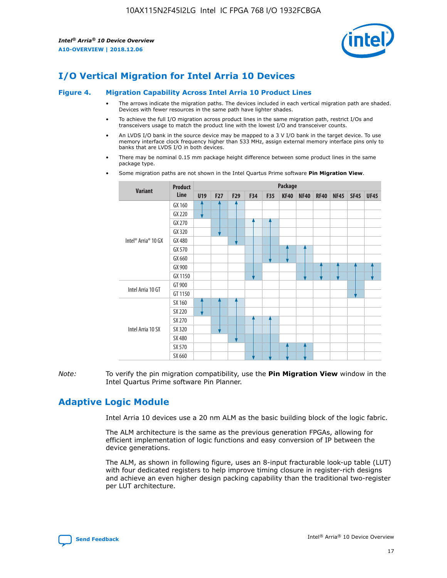

# **I/O Vertical Migration for Intel Arria 10 Devices**

#### **Figure 4. Migration Capability Across Intel Arria 10 Product Lines**

- The arrows indicate the migration paths. The devices included in each vertical migration path are shaded. Devices with fewer resources in the same path have lighter shades.
- To achieve the full I/O migration across product lines in the same migration path, restrict I/Os and transceivers usage to match the product line with the lowest I/O and transceiver counts.
- An LVDS I/O bank in the source device may be mapped to a 3 V I/O bank in the target device. To use memory interface clock frequency higher than 533 MHz, assign external memory interface pins only to banks that are LVDS I/O in both devices.
- There may be nominal 0.15 mm package height difference between some product lines in the same package type.
	- **Variant Product Line Package U19 F27 F29 F34 F35 KF40 NF40 RF40 NF45 SF45 UF45** Intel® Arria® 10 GX GX 160 GX 220 GX 270 GX 320 GX 480 GX 570 GX 660 GX 900 GX 1150 Intel Arria 10 GT GT 900 GT 1150 Intel Arria 10 SX SX 160 SX 220 SX 270 SX 320 SX 480 SX 570 SX 660
- Some migration paths are not shown in the Intel Quartus Prime software **Pin Migration View**.

*Note:* To verify the pin migration compatibility, use the **Pin Migration View** window in the Intel Quartus Prime software Pin Planner.

# **Adaptive Logic Module**

Intel Arria 10 devices use a 20 nm ALM as the basic building block of the logic fabric.

The ALM architecture is the same as the previous generation FPGAs, allowing for efficient implementation of logic functions and easy conversion of IP between the device generations.

The ALM, as shown in following figure, uses an 8-input fracturable look-up table (LUT) with four dedicated registers to help improve timing closure in register-rich designs and achieve an even higher design packing capability than the traditional two-register per LUT architecture.

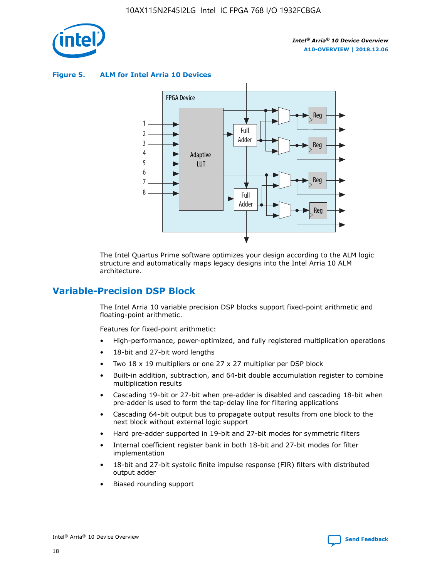

**Figure 5. ALM for Intel Arria 10 Devices**



The Intel Quartus Prime software optimizes your design according to the ALM logic structure and automatically maps legacy designs into the Intel Arria 10 ALM architecture.

# **Variable-Precision DSP Block**

The Intel Arria 10 variable precision DSP blocks support fixed-point arithmetic and floating-point arithmetic.

Features for fixed-point arithmetic:

- High-performance, power-optimized, and fully registered multiplication operations
- 18-bit and 27-bit word lengths
- Two 18 x 19 multipliers or one 27 x 27 multiplier per DSP block
- Built-in addition, subtraction, and 64-bit double accumulation register to combine multiplication results
- Cascading 19-bit or 27-bit when pre-adder is disabled and cascading 18-bit when pre-adder is used to form the tap-delay line for filtering applications
- Cascading 64-bit output bus to propagate output results from one block to the next block without external logic support
- Hard pre-adder supported in 19-bit and 27-bit modes for symmetric filters
- Internal coefficient register bank in both 18-bit and 27-bit modes for filter implementation
- 18-bit and 27-bit systolic finite impulse response (FIR) filters with distributed output adder
- Biased rounding support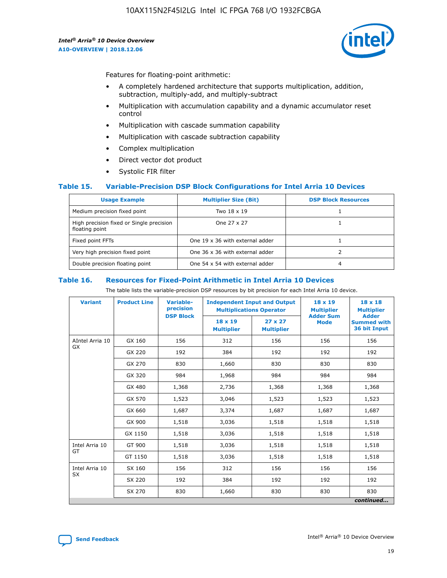

Features for floating-point arithmetic:

- A completely hardened architecture that supports multiplication, addition, subtraction, multiply-add, and multiply-subtract
- Multiplication with accumulation capability and a dynamic accumulator reset control
- Multiplication with cascade summation capability
- Multiplication with cascade subtraction capability
- Complex multiplication
- Direct vector dot product
- Systolic FIR filter

## **Table 15. Variable-Precision DSP Block Configurations for Intel Arria 10 Devices**

| <b>Usage Example</b>                                       | <b>Multiplier Size (Bit)</b>    | <b>DSP Block Resources</b> |
|------------------------------------------------------------|---------------------------------|----------------------------|
| Medium precision fixed point                               | Two 18 x 19                     |                            |
| High precision fixed or Single precision<br>floating point | One 27 x 27                     |                            |
| Fixed point FFTs                                           | One 19 x 36 with external adder |                            |
| Very high precision fixed point                            | One 36 x 36 with external adder |                            |
| Double precision floating point                            | One 54 x 54 with external adder | 4                          |

#### **Table 16. Resources for Fixed-Point Arithmetic in Intel Arria 10 Devices**

The table lists the variable-precision DSP resources by bit precision for each Intel Arria 10 device.

| <b>Variant</b>  | <b>Product Line</b> | Variable-<br>precision<br><b>DSP Block</b> | <b>Independent Input and Output</b><br><b>Multiplications Operator</b> |                                     | 18 x 19<br><b>Multiplier</b><br><b>Adder Sum</b> | $18 \times 18$<br><b>Multiplier</b><br><b>Adder</b> |
|-----------------|---------------------|--------------------------------------------|------------------------------------------------------------------------|-------------------------------------|--------------------------------------------------|-----------------------------------------------------|
|                 |                     |                                            | 18 x 19<br><b>Multiplier</b>                                           | $27 \times 27$<br><b>Multiplier</b> | <b>Mode</b>                                      | <b>Summed with</b><br>36 bit Input                  |
| AIntel Arria 10 | GX 160              | 156                                        | 312                                                                    | 156                                 | 156                                              | 156                                                 |
| GX              | GX 220              | 192                                        | 384                                                                    | 192                                 | 192                                              | 192                                                 |
|                 | GX 270              | 830                                        | 1,660                                                                  | 830                                 | 830                                              | 830                                                 |
|                 | GX 320              | 984                                        | 1,968                                                                  | 984                                 | 984                                              | 984                                                 |
|                 | GX 480              | 1,368                                      | 2,736                                                                  | 1,368                               | 1,368                                            | 1,368                                               |
|                 | GX 570              | 1,523                                      | 3,046                                                                  | 1,523                               | 1,523                                            | 1,523                                               |
|                 | GX 660              | 1,687                                      | 3,374                                                                  | 1,687                               | 1,687                                            | 1,687                                               |
|                 | GX 900              | 1,518                                      | 3,036                                                                  | 1,518                               | 1,518                                            | 1,518                                               |
|                 | GX 1150             | 1,518                                      | 3,036                                                                  | 1,518                               | 1,518                                            | 1,518                                               |
| Intel Arria 10  | GT 900              | 1,518                                      | 3,036                                                                  | 1,518                               | 1,518                                            | 1,518                                               |
| GT              | GT 1150             | 1,518                                      | 3,036                                                                  | 1,518                               | 1,518                                            | 1,518                                               |
| Intel Arria 10  | SX 160              | 156                                        | 312                                                                    | 156                                 | 156                                              | 156                                                 |
| <b>SX</b>       | SX 220              | 192                                        | 384                                                                    | 192                                 | 192                                              | 192                                                 |
|                 | SX 270              | 830                                        | 1,660                                                                  | 830                                 | 830                                              | 830                                                 |
|                 |                     |                                            |                                                                        |                                     |                                                  | continued                                           |

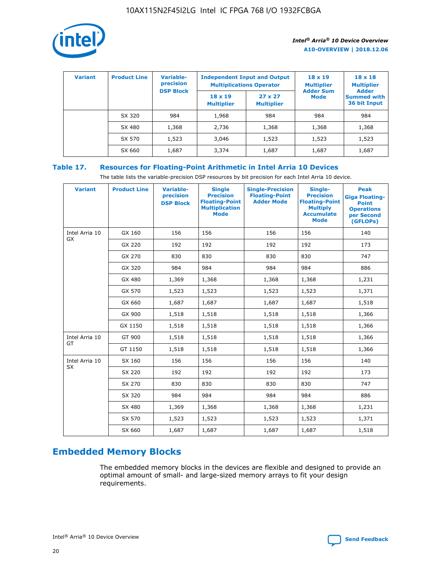

| <b>Variant</b> | <b>Product Line</b> | Variable-<br>precision | <b>Multiplications Operator</b>     | <b>Independent Input and Output</b> | $18 \times 19$<br><b>Multiplier</b> | $18 \times 18$<br><b>Multiplier</b><br><b>Adder</b> |  |
|----------------|---------------------|------------------------|-------------------------------------|-------------------------------------|-------------------------------------|-----------------------------------------------------|--|
|                |                     | <b>DSP Block</b>       | $18 \times 19$<br><b>Multiplier</b> | $27 \times 27$<br><b>Multiplier</b> | <b>Adder Sum</b><br><b>Mode</b>     | <b>Summed with</b><br>36 bit Input                  |  |
|                | SX 320              | 984                    | 1,968                               | 984                                 | 984                                 | 984                                                 |  |
|                | SX 480              | 1,368                  | 2,736                               | 1,368                               | 1,368                               | 1,368                                               |  |
|                | SX 570              | 1,523                  | 3,046                               | 1,523                               | 1,523                               | 1,523                                               |  |
|                | SX 660              | 1,687                  | 3,374                               | 1,687                               | 1,687                               | 1,687                                               |  |

# **Table 17. Resources for Floating-Point Arithmetic in Intel Arria 10 Devices**

The table lists the variable-precision DSP resources by bit precision for each Intel Arria 10 device.

| <b>Variant</b> | <b>Product Line</b> | <b>Variable-</b><br>precision<br><b>DSP Block</b> | <b>Single</b><br><b>Precision</b><br><b>Floating-Point</b><br><b>Multiplication</b><br><b>Mode</b> | <b>Single-Precision</b><br><b>Floating-Point</b><br><b>Adder Mode</b> | Single-<br><b>Precision</b><br><b>Floating-Point</b><br><b>Multiply</b><br><b>Accumulate</b><br><b>Mode</b> | <b>Peak</b><br><b>Giga Floating-</b><br><b>Point</b><br><b>Operations</b><br>per Second<br>(GFLOPs) |
|----------------|---------------------|---------------------------------------------------|----------------------------------------------------------------------------------------------------|-----------------------------------------------------------------------|-------------------------------------------------------------------------------------------------------------|-----------------------------------------------------------------------------------------------------|
| Intel Arria 10 | GX 160              | 156                                               | 156                                                                                                | 156                                                                   | 156                                                                                                         | 140                                                                                                 |
| <b>GX</b>      | GX 220              | 192                                               | 192                                                                                                | 192                                                                   | 192                                                                                                         | 173                                                                                                 |
|                | GX 270              | 830                                               | 830                                                                                                | 830                                                                   | 830                                                                                                         | 747                                                                                                 |
|                | GX 320              | 984                                               | 984                                                                                                | 984                                                                   | 984                                                                                                         | 886                                                                                                 |
|                | GX 480              | 1,369                                             | 1,368                                                                                              | 1,368                                                                 | 1,368                                                                                                       | 1,231                                                                                               |
|                | GX 570              | 1,523                                             | 1,523                                                                                              | 1,523                                                                 | 1,523                                                                                                       | 1,371                                                                                               |
|                | GX 660              | 1,687                                             | 1,687                                                                                              | 1,687                                                                 | 1,687                                                                                                       | 1,518                                                                                               |
|                | GX 900              | 1,518                                             | 1,518                                                                                              | 1,518                                                                 | 1,518                                                                                                       | 1,366                                                                                               |
|                | GX 1150             | 1,518                                             | 1,518                                                                                              | 1,518                                                                 | 1,518                                                                                                       | 1,366                                                                                               |
| Intel Arria 10 | GT 900              | 1,518                                             | 1,518                                                                                              | 1,518                                                                 | 1,518                                                                                                       | 1,366                                                                                               |
| GT             | GT 1150             | 1,518                                             | 1,518                                                                                              | 1,518                                                                 | 1,518                                                                                                       | 1,366                                                                                               |
| Intel Arria 10 | SX 160              | 156                                               | 156                                                                                                | 156                                                                   | 156                                                                                                         | 140                                                                                                 |
| SX             | SX 220              | 192                                               | 192                                                                                                | 192                                                                   | 192                                                                                                         | 173                                                                                                 |
|                | SX 270              | 830                                               | 830                                                                                                | 830                                                                   | 830                                                                                                         | 747                                                                                                 |
|                | SX 320              | 984                                               | 984                                                                                                | 984                                                                   | 984                                                                                                         | 886                                                                                                 |
|                | SX 480              | 1,369                                             | 1,368                                                                                              | 1,368                                                                 | 1,368                                                                                                       | 1,231                                                                                               |
|                | SX 570              | 1,523                                             | 1,523                                                                                              | 1,523                                                                 | 1,523                                                                                                       | 1,371                                                                                               |
|                | SX 660              | 1,687                                             | 1,687                                                                                              | 1,687                                                                 | 1,687                                                                                                       | 1,518                                                                                               |

# **Embedded Memory Blocks**

The embedded memory blocks in the devices are flexible and designed to provide an optimal amount of small- and large-sized memory arrays to fit your design requirements.

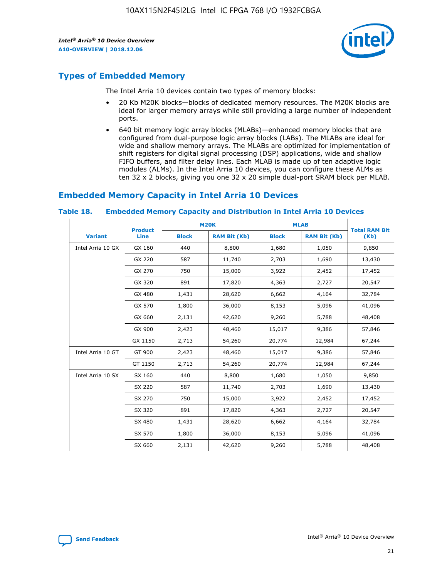

# **Types of Embedded Memory**

The Intel Arria 10 devices contain two types of memory blocks:

- 20 Kb M20K blocks—blocks of dedicated memory resources. The M20K blocks are ideal for larger memory arrays while still providing a large number of independent ports.
- 640 bit memory logic array blocks (MLABs)—enhanced memory blocks that are configured from dual-purpose logic array blocks (LABs). The MLABs are ideal for wide and shallow memory arrays. The MLABs are optimized for implementation of shift registers for digital signal processing (DSP) applications, wide and shallow FIFO buffers, and filter delay lines. Each MLAB is made up of ten adaptive logic modules (ALMs). In the Intel Arria 10 devices, you can configure these ALMs as ten 32 x 2 blocks, giving you one 32 x 20 simple dual-port SRAM block per MLAB.

# **Embedded Memory Capacity in Intel Arria 10 Devices**

|                   | <b>Product</b> |              | <b>M20K</b>         | <b>MLAB</b>  |                     | <b>Total RAM Bit</b> |
|-------------------|----------------|--------------|---------------------|--------------|---------------------|----------------------|
| <b>Variant</b>    | <b>Line</b>    | <b>Block</b> | <b>RAM Bit (Kb)</b> | <b>Block</b> | <b>RAM Bit (Kb)</b> | (Kb)                 |
| Intel Arria 10 GX | GX 160         | 440          | 8,800               | 1,680        | 1,050               | 9,850                |
|                   | GX 220         | 587          | 11,740              | 2,703        | 1,690               | 13,430               |
|                   | GX 270         | 750          | 15,000              | 3,922        | 2,452               | 17,452               |
|                   | GX 320         | 891          | 17,820              | 4,363        | 2,727               | 20,547               |
|                   | GX 480         | 1,431        | 28,620              | 6,662        | 4,164               | 32,784               |
|                   | GX 570         | 1,800        | 36,000              | 8,153        | 5,096               | 41,096               |
|                   | GX 660         | 2,131        | 42,620              | 9,260        | 5,788               | 48,408               |
|                   | GX 900         | 2,423        | 48,460              | 15,017       | 9,386               | 57,846               |
|                   | GX 1150        | 2,713        | 54,260              | 20,774       | 12,984              | 67,244               |
| Intel Arria 10 GT | GT 900         | 2,423        | 48,460              | 15,017       | 9,386               | 57,846               |
|                   | GT 1150        | 2,713        | 54,260              | 20,774       | 12,984              | 67,244               |
| Intel Arria 10 SX | SX 160         | 440          | 8,800               | 1,680        | 1,050               | 9,850                |
|                   | SX 220         | 587          | 11,740              | 2,703        | 1,690               | 13,430               |
|                   | SX 270         | 750          | 15,000              | 3,922        | 2,452               | 17,452               |
|                   | SX 320         | 891          | 17,820              | 4,363        | 2,727               | 20,547               |
|                   | SX 480         | 1,431        | 28,620              | 6,662        | 4,164               | 32,784               |
|                   | SX 570         | 1,800        | 36,000              | 8,153        | 5,096               | 41,096               |
|                   | SX 660         | 2,131        | 42,620              | 9,260        | 5,788               | 48,408               |

#### **Table 18. Embedded Memory Capacity and Distribution in Intel Arria 10 Devices**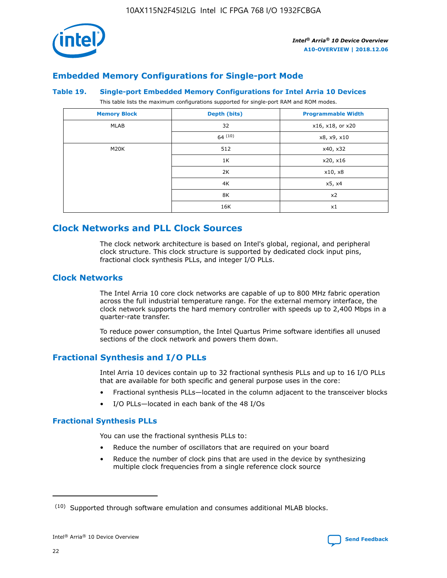

# **Embedded Memory Configurations for Single-port Mode**

#### **Table 19. Single-port Embedded Memory Configurations for Intel Arria 10 Devices**

This table lists the maximum configurations supported for single-port RAM and ROM modes.

| <b>Memory Block</b> | Depth (bits) | <b>Programmable Width</b> |
|---------------------|--------------|---------------------------|
| MLAB                | 32           | x16, x18, or x20          |
|                     | 64(10)       | x8, x9, x10               |
| M20K                | 512          | x40, x32                  |
|                     | 1K           | x20, x16                  |
|                     | 2K           | x10, x8                   |
|                     | 4K           | x5, x4                    |
|                     | 8K           | x2                        |
|                     | 16K          | x1                        |

# **Clock Networks and PLL Clock Sources**

The clock network architecture is based on Intel's global, regional, and peripheral clock structure. This clock structure is supported by dedicated clock input pins, fractional clock synthesis PLLs, and integer I/O PLLs.

# **Clock Networks**

The Intel Arria 10 core clock networks are capable of up to 800 MHz fabric operation across the full industrial temperature range. For the external memory interface, the clock network supports the hard memory controller with speeds up to 2,400 Mbps in a quarter-rate transfer.

To reduce power consumption, the Intel Quartus Prime software identifies all unused sections of the clock network and powers them down.

# **Fractional Synthesis and I/O PLLs**

Intel Arria 10 devices contain up to 32 fractional synthesis PLLs and up to 16 I/O PLLs that are available for both specific and general purpose uses in the core:

- Fractional synthesis PLLs—located in the column adjacent to the transceiver blocks
- I/O PLLs—located in each bank of the 48 I/Os

## **Fractional Synthesis PLLs**

You can use the fractional synthesis PLLs to:

- Reduce the number of oscillators that are required on your board
- Reduce the number of clock pins that are used in the device by synthesizing multiple clock frequencies from a single reference clock source

<sup>(10)</sup> Supported through software emulation and consumes additional MLAB blocks.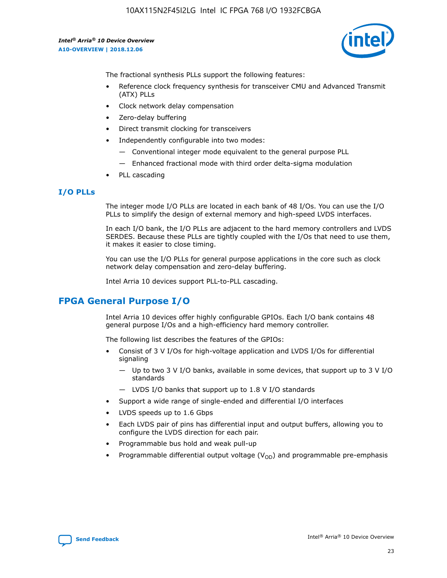

The fractional synthesis PLLs support the following features:

- Reference clock frequency synthesis for transceiver CMU and Advanced Transmit (ATX) PLLs
- Clock network delay compensation
- Zero-delay buffering
- Direct transmit clocking for transceivers
- Independently configurable into two modes:
	- Conventional integer mode equivalent to the general purpose PLL
	- Enhanced fractional mode with third order delta-sigma modulation
- PLL cascading

# **I/O PLLs**

The integer mode I/O PLLs are located in each bank of 48 I/Os. You can use the I/O PLLs to simplify the design of external memory and high-speed LVDS interfaces.

In each I/O bank, the I/O PLLs are adjacent to the hard memory controllers and LVDS SERDES. Because these PLLs are tightly coupled with the I/Os that need to use them, it makes it easier to close timing.

You can use the I/O PLLs for general purpose applications in the core such as clock network delay compensation and zero-delay buffering.

Intel Arria 10 devices support PLL-to-PLL cascading.

# **FPGA General Purpose I/O**

Intel Arria 10 devices offer highly configurable GPIOs. Each I/O bank contains 48 general purpose I/Os and a high-efficiency hard memory controller.

The following list describes the features of the GPIOs:

- Consist of 3 V I/Os for high-voltage application and LVDS I/Os for differential signaling
	- Up to two 3 V I/O banks, available in some devices, that support up to 3 V I/O standards
	- LVDS I/O banks that support up to 1.8 V I/O standards
- Support a wide range of single-ended and differential I/O interfaces
- LVDS speeds up to 1.6 Gbps
- Each LVDS pair of pins has differential input and output buffers, allowing you to configure the LVDS direction for each pair.
- Programmable bus hold and weak pull-up
- Programmable differential output voltage  $(V_{OD})$  and programmable pre-emphasis

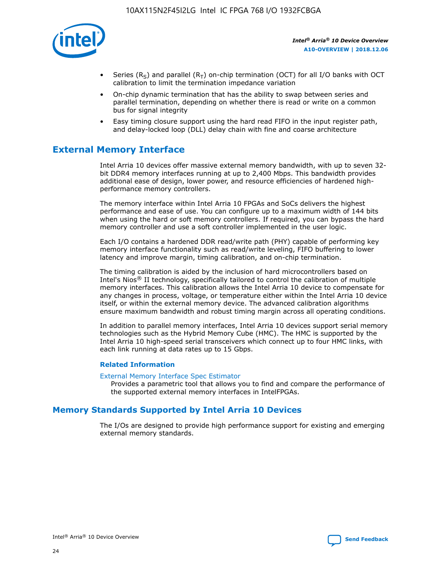

- Series (R<sub>S</sub>) and parallel (R<sub>T</sub>) on-chip termination (OCT) for all I/O banks with OCT calibration to limit the termination impedance variation
- On-chip dynamic termination that has the ability to swap between series and parallel termination, depending on whether there is read or write on a common bus for signal integrity
- Easy timing closure support using the hard read FIFO in the input register path, and delay-locked loop (DLL) delay chain with fine and coarse architecture

# **External Memory Interface**

Intel Arria 10 devices offer massive external memory bandwidth, with up to seven 32 bit DDR4 memory interfaces running at up to 2,400 Mbps. This bandwidth provides additional ease of design, lower power, and resource efficiencies of hardened highperformance memory controllers.

The memory interface within Intel Arria 10 FPGAs and SoCs delivers the highest performance and ease of use. You can configure up to a maximum width of 144 bits when using the hard or soft memory controllers. If required, you can bypass the hard memory controller and use a soft controller implemented in the user logic.

Each I/O contains a hardened DDR read/write path (PHY) capable of performing key memory interface functionality such as read/write leveling, FIFO buffering to lower latency and improve margin, timing calibration, and on-chip termination.

The timing calibration is aided by the inclusion of hard microcontrollers based on Intel's Nios® II technology, specifically tailored to control the calibration of multiple memory interfaces. This calibration allows the Intel Arria 10 device to compensate for any changes in process, voltage, or temperature either within the Intel Arria 10 device itself, or within the external memory device. The advanced calibration algorithms ensure maximum bandwidth and robust timing margin across all operating conditions.

In addition to parallel memory interfaces, Intel Arria 10 devices support serial memory technologies such as the Hybrid Memory Cube (HMC). The HMC is supported by the Intel Arria 10 high-speed serial transceivers which connect up to four HMC links, with each link running at data rates up to 15 Gbps.

## **Related Information**

#### [External Memory Interface Spec Estimator](http://www.altera.com/technology/memory/estimator/mem-emif-index.html)

Provides a parametric tool that allows you to find and compare the performance of the supported external memory interfaces in IntelFPGAs.

# **Memory Standards Supported by Intel Arria 10 Devices**

The I/Os are designed to provide high performance support for existing and emerging external memory standards.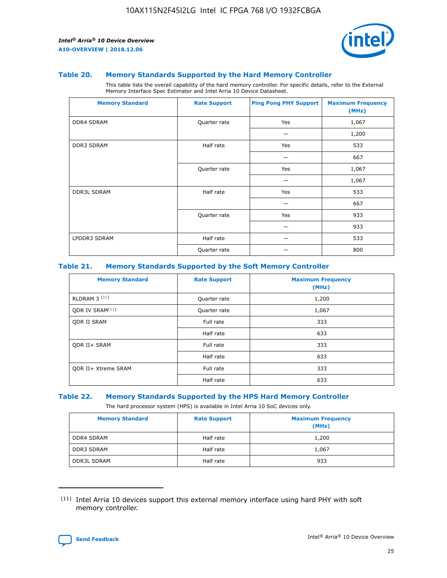

#### **Table 20. Memory Standards Supported by the Hard Memory Controller**

This table lists the overall capability of the hard memory controller. For specific details, refer to the External Memory Interface Spec Estimator and Intel Arria 10 Device Datasheet.

| <b>Memory Standard</b> | <b>Rate Support</b> | <b>Ping Pong PHY Support</b> | <b>Maximum Frequency</b><br>(MHz) |
|------------------------|---------------------|------------------------------|-----------------------------------|
| <b>DDR4 SDRAM</b>      | Quarter rate        | Yes                          | 1,067                             |
|                        |                     |                              | 1,200                             |
| DDR3 SDRAM             | Half rate           | Yes                          | 533                               |
|                        |                     |                              | 667                               |
|                        | Quarter rate        | Yes                          | 1,067                             |
|                        |                     |                              | 1,067                             |
| <b>DDR3L SDRAM</b>     | Half rate           | Yes                          | 533                               |
|                        |                     |                              | 667                               |
|                        | Quarter rate        | Yes                          | 933                               |
|                        |                     |                              | 933                               |
| LPDDR3 SDRAM           | Half rate           |                              | 533                               |
|                        | Quarter rate        |                              | 800                               |

## **Table 21. Memory Standards Supported by the Soft Memory Controller**

| <b>Memory Standard</b>      | <b>Rate Support</b> | <b>Maximum Frequency</b><br>(MHz) |
|-----------------------------|---------------------|-----------------------------------|
| <b>RLDRAM 3 (11)</b>        | Quarter rate        | 1,200                             |
| ODR IV SRAM <sup>(11)</sup> | Quarter rate        | 1,067                             |
| <b>ODR II SRAM</b>          | Full rate           | 333                               |
|                             | Half rate           | 633                               |
| <b>ODR II+ SRAM</b>         | Full rate           | 333                               |
|                             | Half rate           | 633                               |
| <b>ODR II+ Xtreme SRAM</b>  | Full rate           | 333                               |
|                             | Half rate           | 633                               |

#### **Table 22. Memory Standards Supported by the HPS Hard Memory Controller**

The hard processor system (HPS) is available in Intel Arria 10 SoC devices only.

| <b>Memory Standard</b> | <b>Rate Support</b> | <b>Maximum Frequency</b><br>(MHz) |
|------------------------|---------------------|-----------------------------------|
| <b>DDR4 SDRAM</b>      | Half rate           | 1,200                             |
| DDR3 SDRAM             | Half rate           | 1,067                             |
| <b>DDR3L SDRAM</b>     | Half rate           | 933                               |

<sup>(11)</sup> Intel Arria 10 devices support this external memory interface using hard PHY with soft memory controller.

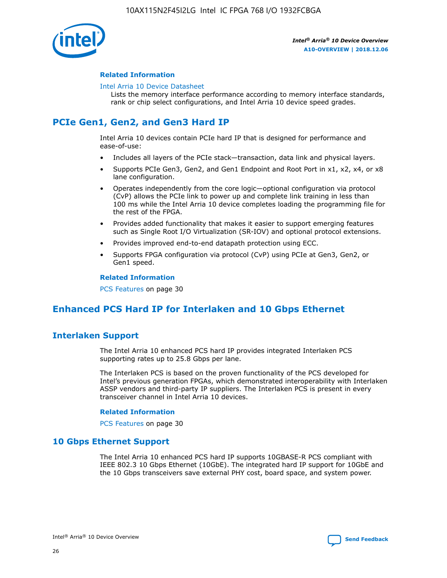

## **Related Information**

#### [Intel Arria 10 Device Datasheet](https://www.intel.com/content/www/us/en/programmable/documentation/mcn1413182292568.html#mcn1413182153340)

Lists the memory interface performance according to memory interface standards, rank or chip select configurations, and Intel Arria 10 device speed grades.

# **PCIe Gen1, Gen2, and Gen3 Hard IP**

Intel Arria 10 devices contain PCIe hard IP that is designed for performance and ease-of-use:

- Includes all layers of the PCIe stack—transaction, data link and physical layers.
- Supports PCIe Gen3, Gen2, and Gen1 Endpoint and Root Port in x1, x2, x4, or x8 lane configuration.
- Operates independently from the core logic—optional configuration via protocol (CvP) allows the PCIe link to power up and complete link training in less than 100 ms while the Intel Arria 10 device completes loading the programming file for the rest of the FPGA.
- Provides added functionality that makes it easier to support emerging features such as Single Root I/O Virtualization (SR-IOV) and optional protocol extensions.
- Provides improved end-to-end datapath protection using ECC.
- Supports FPGA configuration via protocol (CvP) using PCIe at Gen3, Gen2, or Gen1 speed.

#### **Related Information**

PCS Features on page 30

# **Enhanced PCS Hard IP for Interlaken and 10 Gbps Ethernet**

# **Interlaken Support**

The Intel Arria 10 enhanced PCS hard IP provides integrated Interlaken PCS supporting rates up to 25.8 Gbps per lane.

The Interlaken PCS is based on the proven functionality of the PCS developed for Intel's previous generation FPGAs, which demonstrated interoperability with Interlaken ASSP vendors and third-party IP suppliers. The Interlaken PCS is present in every transceiver channel in Intel Arria 10 devices.

## **Related Information**

PCS Features on page 30

# **10 Gbps Ethernet Support**

The Intel Arria 10 enhanced PCS hard IP supports 10GBASE-R PCS compliant with IEEE 802.3 10 Gbps Ethernet (10GbE). The integrated hard IP support for 10GbE and the 10 Gbps transceivers save external PHY cost, board space, and system power.

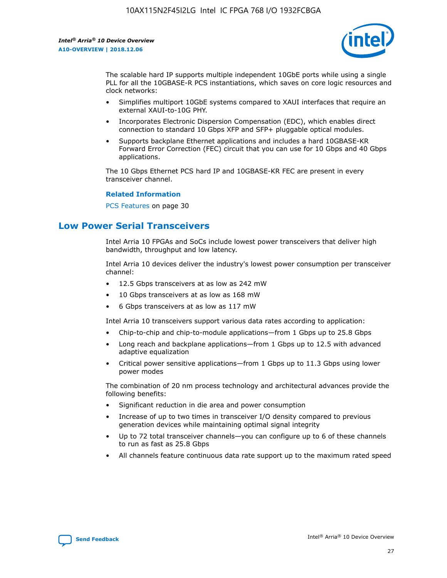

The scalable hard IP supports multiple independent 10GbE ports while using a single PLL for all the 10GBASE-R PCS instantiations, which saves on core logic resources and clock networks:

- Simplifies multiport 10GbE systems compared to XAUI interfaces that require an external XAUI-to-10G PHY.
- Incorporates Electronic Dispersion Compensation (EDC), which enables direct connection to standard 10 Gbps XFP and SFP+ pluggable optical modules.
- Supports backplane Ethernet applications and includes a hard 10GBASE-KR Forward Error Correction (FEC) circuit that you can use for 10 Gbps and 40 Gbps applications.

The 10 Gbps Ethernet PCS hard IP and 10GBASE-KR FEC are present in every transceiver channel.

#### **Related Information**

PCS Features on page 30

# **Low Power Serial Transceivers**

Intel Arria 10 FPGAs and SoCs include lowest power transceivers that deliver high bandwidth, throughput and low latency.

Intel Arria 10 devices deliver the industry's lowest power consumption per transceiver channel:

- 12.5 Gbps transceivers at as low as 242 mW
- 10 Gbps transceivers at as low as 168 mW
- 6 Gbps transceivers at as low as 117 mW

Intel Arria 10 transceivers support various data rates according to application:

- Chip-to-chip and chip-to-module applications—from 1 Gbps up to 25.8 Gbps
- Long reach and backplane applications—from 1 Gbps up to 12.5 with advanced adaptive equalization
- Critical power sensitive applications—from 1 Gbps up to 11.3 Gbps using lower power modes

The combination of 20 nm process technology and architectural advances provide the following benefits:

- Significant reduction in die area and power consumption
- Increase of up to two times in transceiver I/O density compared to previous generation devices while maintaining optimal signal integrity
- Up to 72 total transceiver channels—you can configure up to 6 of these channels to run as fast as 25.8 Gbps
- All channels feature continuous data rate support up to the maximum rated speed

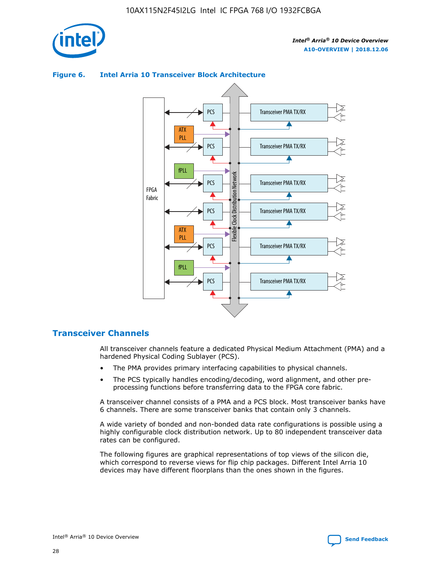



## **Figure 6. Intel Arria 10 Transceiver Block Architecture**

# **Transceiver Channels**

All transceiver channels feature a dedicated Physical Medium Attachment (PMA) and a hardened Physical Coding Sublayer (PCS).

- The PMA provides primary interfacing capabilities to physical channels.
- The PCS typically handles encoding/decoding, word alignment, and other preprocessing functions before transferring data to the FPGA core fabric.

A transceiver channel consists of a PMA and a PCS block. Most transceiver banks have 6 channels. There are some transceiver banks that contain only 3 channels.

A wide variety of bonded and non-bonded data rate configurations is possible using a highly configurable clock distribution network. Up to 80 independent transceiver data rates can be configured.

The following figures are graphical representations of top views of the silicon die, which correspond to reverse views for flip chip packages. Different Intel Arria 10 devices may have different floorplans than the ones shown in the figures.

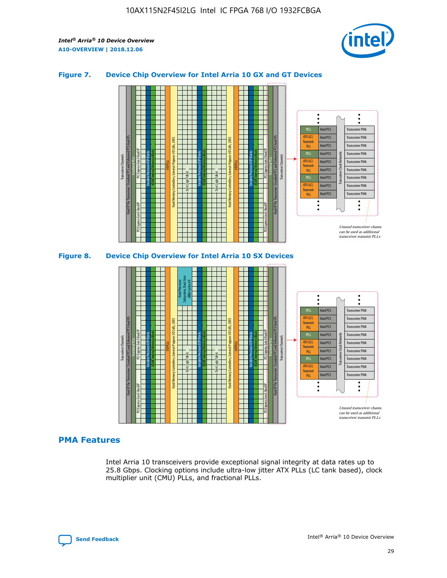

## **Figure 7. Device Chip Overview for Intel Arria 10 GX and GT Devices**



M20K Internal Memory Blocks Core Logic Fabric Transceiver Channels Hard IP Per Transceiver: Standard PCS and Enhanced PCS Hard IPs PCI Express Gen3 Hard IP Fractional PLLs M20K Internal Memory Blocks PCI Express Gen3 Hard IP Variable Precision DSP Blocks I/O PLLs Hard Memory Controllers, General-Purpose I/O Cells, LVDS Hard Processor Subsystem, Dual-Core ARM Cortex A9 M20K Internal Memory Blocks Variable Precision DSP Blocks M20K Internal Memory Blocks Core Logic Fabric I/O PLLs Hard Memory Controllers, General-Purpose I/O Cells, LVDS M20K Internal Memory Blocks Variable Precision DSP Blocks M20K Internal Memory Blocks Transceiver Channels Hard IP Per Transceiver: Standard PCS and Enhanced PCS Hard IPs PCI Express Gen3 Hard IP Fractional PLLs PCI Express Gen3 Hard IP  $\ddot{\cdot}$ Hard PCS Transceiver PMA fPLL ATX (LC) Hard PCS Transceiver PMA **Transmit** Hard PCS Transceiver PMA PLL fPLL Hard PCS Transceiver PMA Transceiver Clock Networks ATX (LC) Hard PCS Transceiver PMA Transmi Hard PCS Transceiver PMA PLL fPLL Hard PCS Transceiver PMA Transceiver PMA Hard PCS ATX (LC) **Transmit** Hard PCS Transceiver PMA PLL Unused transceiver chann can be used as additional transceiver transmit PLLs

# **PMA Features**

Intel Arria 10 transceivers provide exceptional signal integrity at data rates up to 25.8 Gbps. Clocking options include ultra-low jitter ATX PLLs (LC tank based), clock multiplier unit (CMU) PLLs, and fractional PLLs.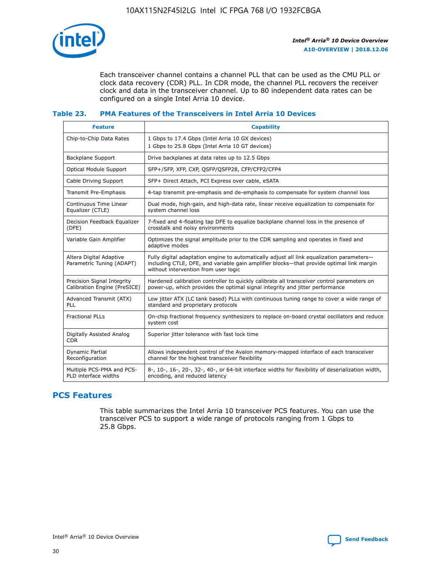

Each transceiver channel contains a channel PLL that can be used as the CMU PLL or clock data recovery (CDR) PLL. In CDR mode, the channel PLL recovers the receiver clock and data in the transceiver channel. Up to 80 independent data rates can be configured on a single Intel Arria 10 device.

## **Table 23. PMA Features of the Transceivers in Intel Arria 10 Devices**

| <b>Feature</b>                                             | <b>Capability</b>                                                                                                                                                                                                             |
|------------------------------------------------------------|-------------------------------------------------------------------------------------------------------------------------------------------------------------------------------------------------------------------------------|
| Chip-to-Chip Data Rates                                    | 1 Gbps to 17.4 Gbps (Intel Arria 10 GX devices)<br>1 Gbps to 25.8 Gbps (Intel Arria 10 GT devices)                                                                                                                            |
| Backplane Support                                          | Drive backplanes at data rates up to 12.5 Gbps                                                                                                                                                                                |
| Optical Module Support                                     | SFP+/SFP, XFP, CXP, QSFP/QSFP28, CFP/CFP2/CFP4                                                                                                                                                                                |
| Cable Driving Support                                      | SFP+ Direct Attach, PCI Express over cable, eSATA                                                                                                                                                                             |
| Transmit Pre-Emphasis                                      | 4-tap transmit pre-emphasis and de-emphasis to compensate for system channel loss                                                                                                                                             |
| Continuous Time Linear<br>Equalizer (CTLE)                 | Dual mode, high-gain, and high-data rate, linear receive equalization to compensate for<br>system channel loss                                                                                                                |
| Decision Feedback Equalizer<br>(DFE)                       | 7-fixed and 4-floating tap DFE to equalize backplane channel loss in the presence of<br>crosstalk and noisy environments                                                                                                      |
| Variable Gain Amplifier                                    | Optimizes the signal amplitude prior to the CDR sampling and operates in fixed and<br>adaptive modes                                                                                                                          |
| Altera Digital Adaptive<br>Parametric Tuning (ADAPT)       | Fully digital adaptation engine to automatically adjust all link equalization parameters-<br>including CTLE, DFE, and variable gain amplifier blocks—that provide optimal link margin<br>without intervention from user logic |
| Precision Signal Integrity<br>Calibration Engine (PreSICE) | Hardened calibration controller to quickly calibrate all transceiver control parameters on<br>power-up, which provides the optimal signal integrity and jitter performance                                                    |
| Advanced Transmit (ATX)<br><b>PLL</b>                      | Low jitter ATX (LC tank based) PLLs with continuous tuning range to cover a wide range of<br>standard and proprietary protocols                                                                                               |
| <b>Fractional PLLs</b>                                     | On-chip fractional frequency synthesizers to replace on-board crystal oscillators and reduce<br>system cost                                                                                                                   |
| Digitally Assisted Analog<br><b>CDR</b>                    | Superior jitter tolerance with fast lock time                                                                                                                                                                                 |
| Dynamic Partial<br>Reconfiguration                         | Allows independent control of the Avalon memory-mapped interface of each transceiver<br>channel for the highest transceiver flexibility                                                                                       |
| Multiple PCS-PMA and PCS-<br>PLD interface widths          | 8-, 10-, 16-, 20-, 32-, 40-, or 64-bit interface widths for flexibility of deserialization width,<br>encoding, and reduced latency                                                                                            |

# **PCS Features**

This table summarizes the Intel Arria 10 transceiver PCS features. You can use the transceiver PCS to support a wide range of protocols ranging from 1 Gbps to 25.8 Gbps.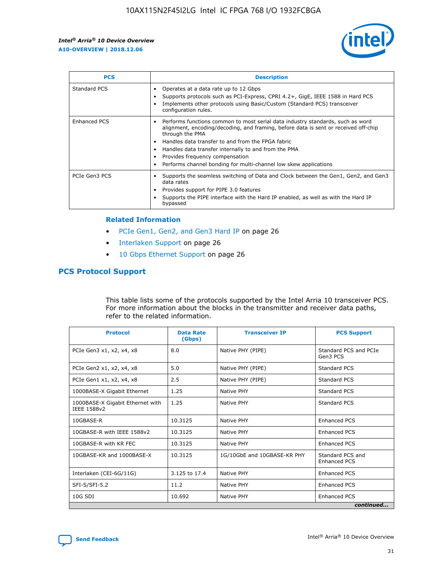

| <b>PCS</b>    | <b>Description</b>                                                                                                                                                                                                                                                                                                                                                                                                          |
|---------------|-----------------------------------------------------------------------------------------------------------------------------------------------------------------------------------------------------------------------------------------------------------------------------------------------------------------------------------------------------------------------------------------------------------------------------|
| Standard PCS  | Operates at a data rate up to 12 Gbps<br>Supports protocols such as PCI-Express, CPRI 4.2+, GigE, IEEE 1588 in Hard PCS<br>Implements other protocols using Basic/Custom (Standard PCS) transceiver<br>configuration rules.                                                                                                                                                                                                 |
| Enhanced PCS  | Performs functions common to most serial data industry standards, such as word<br>$\bullet$<br>alignment, encoding/decoding, and framing, before data is sent or received off-chip<br>through the PMA<br>• Handles data transfer to and from the FPGA fabric<br>Handles data transfer internally to and from the PMA<br>Provides frequency compensation<br>Performs channel bonding for multi-channel low skew applications |
| PCIe Gen3 PCS | Supports the seamless switching of Data and Clock between the Gen1, Gen2, and Gen3<br>data rates<br>Provides support for PIPE 3.0 features<br>Supports the PIPE interface with the Hard IP enabled, as well as with the Hard IP<br>bypassed                                                                                                                                                                                 |

#### **Related Information**

- PCIe Gen1, Gen2, and Gen3 Hard IP on page 26
- Interlaken Support on page 26
- 10 Gbps Ethernet Support on page 26

# **PCS Protocol Support**

This table lists some of the protocols supported by the Intel Arria 10 transceiver PCS. For more information about the blocks in the transmitter and receiver data paths, refer to the related information.

| <b>Protocol</b>                                 | <b>Data Rate</b><br>(Gbps) | <b>Transceiver IP</b>       | <b>PCS Support</b>                      |
|-------------------------------------------------|----------------------------|-----------------------------|-----------------------------------------|
| PCIe Gen3 x1, x2, x4, x8                        | 8.0                        | Native PHY (PIPE)           | Standard PCS and PCIe<br>Gen3 PCS       |
| PCIe Gen2 x1, x2, x4, x8                        | 5.0                        | Native PHY (PIPE)           | <b>Standard PCS</b>                     |
| PCIe Gen1 x1, x2, x4, x8                        | 2.5                        | Native PHY (PIPE)           | Standard PCS                            |
| 1000BASE-X Gigabit Ethernet                     | 1.25                       | Native PHY                  | <b>Standard PCS</b>                     |
| 1000BASE-X Gigabit Ethernet with<br>IEEE 1588v2 | 1.25                       | Native PHY                  | Standard PCS                            |
| 10GBASE-R                                       | 10.3125                    | Native PHY                  | <b>Enhanced PCS</b>                     |
| 10GBASE-R with IEEE 1588v2                      | 10.3125                    | Native PHY                  | <b>Enhanced PCS</b>                     |
| 10GBASE-R with KR FEC                           | 10.3125                    | Native PHY                  | <b>Enhanced PCS</b>                     |
| 10GBASE-KR and 1000BASE-X                       | 10.3125                    | 1G/10GbE and 10GBASE-KR PHY | Standard PCS and<br><b>Enhanced PCS</b> |
| Interlaken (CEI-6G/11G)                         | 3.125 to 17.4              | Native PHY                  | <b>Enhanced PCS</b>                     |
| SFI-S/SFI-5.2                                   | 11.2                       | Native PHY                  | <b>Enhanced PCS</b>                     |
| $10G$ SDI                                       | 10.692                     | Native PHY                  | <b>Enhanced PCS</b>                     |
|                                                 |                            |                             | continued                               |

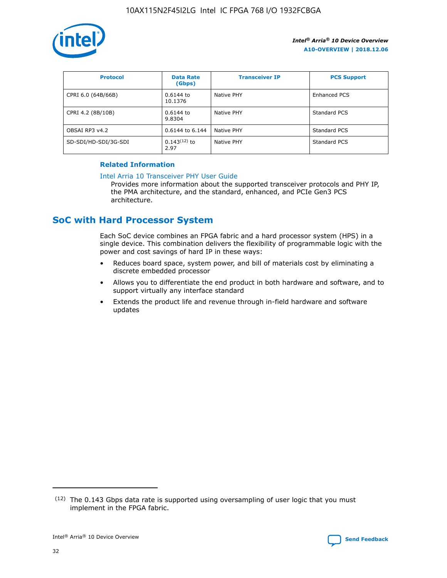

| <b>Protocol</b>      | <b>Data Rate</b><br>(Gbps) | <b>Transceiver IP</b> | <b>PCS Support</b> |
|----------------------|----------------------------|-----------------------|--------------------|
| CPRI 6.0 (64B/66B)   | 0.6144 to<br>10.1376       | Native PHY            | Enhanced PCS       |
| CPRI 4.2 (8B/10B)    | $0.6144$ to<br>9.8304      | Native PHY            | Standard PCS       |
| OBSAI RP3 v4.2       | 0.6144 to 6.144            | Native PHY            | Standard PCS       |
| SD-SDI/HD-SDI/3G-SDI | $0.143(12)$ to<br>2.97     | Native PHY            | Standard PCS       |

## **Related Information**

#### [Intel Arria 10 Transceiver PHY User Guide](https://www.intel.com/content/www/us/en/programmable/documentation/nik1398707230472.html#nik1398707091164)

Provides more information about the supported transceiver protocols and PHY IP, the PMA architecture, and the standard, enhanced, and PCIe Gen3 PCS architecture.

# **SoC with Hard Processor System**

Each SoC device combines an FPGA fabric and a hard processor system (HPS) in a single device. This combination delivers the flexibility of programmable logic with the power and cost savings of hard IP in these ways:

- Reduces board space, system power, and bill of materials cost by eliminating a discrete embedded processor
- Allows you to differentiate the end product in both hardware and software, and to support virtually any interface standard
- Extends the product life and revenue through in-field hardware and software updates

 $(12)$  The 0.143 Gbps data rate is supported using oversampling of user logic that you must implement in the FPGA fabric.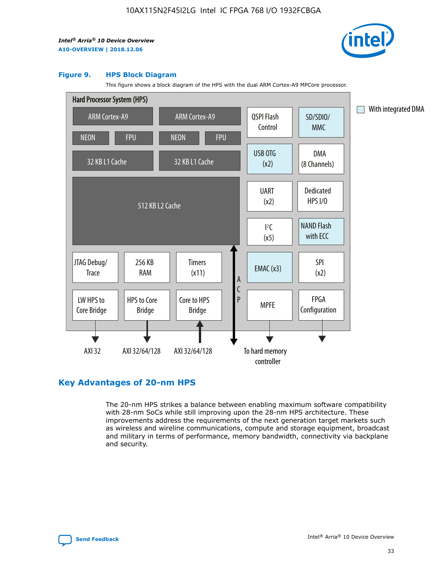

#### **Figure 9. HPS Block Diagram**

This figure shows a block diagram of the HPS with the dual ARM Cortex-A9 MPCore processor.



# **Key Advantages of 20-nm HPS**

The 20-nm HPS strikes a balance between enabling maximum software compatibility with 28-nm SoCs while still improving upon the 28-nm HPS architecture. These improvements address the requirements of the next generation target markets such as wireless and wireline communications, compute and storage equipment, broadcast and military in terms of performance, memory bandwidth, connectivity via backplane and security.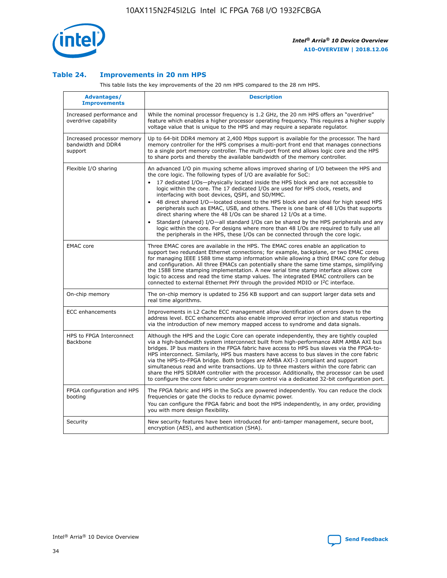

## **Table 24. Improvements in 20 nm HPS**

This table lists the key improvements of the 20 nm HPS compared to the 28 nm HPS.

| Advantages/<br><b>Improvements</b>                          | <b>Description</b>                                                                                                                                                                                                                                                                                                                                                                                                                                                                                                                                                                                                                                                                                                                                                                                                                                                                                                      |
|-------------------------------------------------------------|-------------------------------------------------------------------------------------------------------------------------------------------------------------------------------------------------------------------------------------------------------------------------------------------------------------------------------------------------------------------------------------------------------------------------------------------------------------------------------------------------------------------------------------------------------------------------------------------------------------------------------------------------------------------------------------------------------------------------------------------------------------------------------------------------------------------------------------------------------------------------------------------------------------------------|
| Increased performance and<br>overdrive capability           | While the nominal processor frequency is 1.2 GHz, the 20 nm HPS offers an "overdrive"<br>feature which enables a higher processor operating frequency. This requires a higher supply<br>voltage value that is unique to the HPS and may require a separate regulator.                                                                                                                                                                                                                                                                                                                                                                                                                                                                                                                                                                                                                                                   |
| Increased processor memory<br>bandwidth and DDR4<br>support | Up to 64-bit DDR4 memory at 2,400 Mbps support is available for the processor. The hard<br>memory controller for the HPS comprises a multi-port front end that manages connections<br>to a single port memory controller. The multi-port front end allows logic core and the HPS<br>to share ports and thereby the available bandwidth of the memory controller.                                                                                                                                                                                                                                                                                                                                                                                                                                                                                                                                                        |
| Flexible I/O sharing                                        | An advanced I/O pin muxing scheme allows improved sharing of I/O between the HPS and<br>the core logic. The following types of I/O are available for SoC:<br>17 dedicated I/Os-physically located inside the HPS block and are not accessible to<br>logic within the core. The 17 dedicated I/Os are used for HPS clock, resets, and<br>interfacing with boot devices, QSPI, and SD/MMC.<br>48 direct shared I/O-located closest to the HPS block and are ideal for high speed HPS<br>peripherals such as EMAC, USB, and others. There is one bank of 48 I/Os that supports<br>direct sharing where the 48 I/Os can be shared 12 I/Os at a time.<br>Standard (shared) I/O-all standard I/Os can be shared by the HPS peripherals and any<br>logic within the core. For designs where more than 48 I/Os are reguired to fully use all<br>the peripherals in the HPS, these I/Os can be connected through the core logic. |
| <b>EMAC</b> core                                            | Three EMAC cores are available in the HPS. The EMAC cores enable an application to<br>support two redundant Ethernet connections; for example, backplane, or two EMAC cores<br>for managing IEEE 1588 time stamp information while allowing a third EMAC core for debug<br>and configuration. All three EMACs can potentially share the same time stamps, simplifying<br>the 1588 time stamping implementation. A new serial time stamp interface allows core<br>logic to access and read the time stamp values. The integrated EMAC controllers can be<br>connected to external Ethernet PHY through the provided MDIO or I <sup>2</sup> C interface.                                                                                                                                                                                                                                                                  |
| On-chip memory                                              | The on-chip memory is updated to 256 KB support and can support larger data sets and<br>real time algorithms.                                                                                                                                                                                                                                                                                                                                                                                                                                                                                                                                                                                                                                                                                                                                                                                                           |
| <b>ECC</b> enhancements                                     | Improvements in L2 Cache ECC management allow identification of errors down to the<br>address level. ECC enhancements also enable improved error injection and status reporting<br>via the introduction of new memory mapped access to syndrome and data signals.                                                                                                                                                                                                                                                                                                                                                                                                                                                                                                                                                                                                                                                       |
| HPS to FPGA Interconnect<br>Backbone                        | Although the HPS and the Logic Core can operate independently, they are tightly coupled<br>via a high-bandwidth system interconnect built from high-performance ARM AMBA AXI bus<br>bridges. IP bus masters in the FPGA fabric have access to HPS bus slaves via the FPGA-to-<br>HPS interconnect. Similarly, HPS bus masters have access to bus slaves in the core fabric<br>via the HPS-to-FPGA bridge. Both bridges are AMBA AXI-3 compliant and support<br>simultaneous read and write transactions. Up to three masters within the core fabric can<br>share the HPS SDRAM controller with the processor. Additionally, the processor can be used<br>to configure the core fabric under program control via a dedicated 32-bit configuration port.                                                                                                                                                                  |
| FPGA configuration and HPS<br>booting                       | The FPGA fabric and HPS in the SoCs are powered independently. You can reduce the clock<br>frequencies or gate the clocks to reduce dynamic power.<br>You can configure the FPGA fabric and boot the HPS independently, in any order, providing<br>you with more design flexibility.                                                                                                                                                                                                                                                                                                                                                                                                                                                                                                                                                                                                                                    |
| Security                                                    | New security features have been introduced for anti-tamper management, secure boot,<br>encryption (AES), and authentication (SHA).                                                                                                                                                                                                                                                                                                                                                                                                                                                                                                                                                                                                                                                                                                                                                                                      |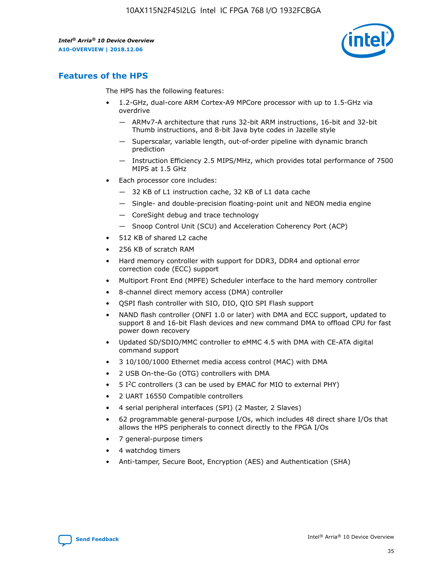

# **Features of the HPS**

The HPS has the following features:

- 1.2-GHz, dual-core ARM Cortex-A9 MPCore processor with up to 1.5-GHz via overdrive
	- ARMv7-A architecture that runs 32-bit ARM instructions, 16-bit and 32-bit Thumb instructions, and 8-bit Java byte codes in Jazelle style
	- Superscalar, variable length, out-of-order pipeline with dynamic branch prediction
	- Instruction Efficiency 2.5 MIPS/MHz, which provides total performance of 7500 MIPS at 1.5 GHz
- Each processor core includes:
	- 32 KB of L1 instruction cache, 32 KB of L1 data cache
	- Single- and double-precision floating-point unit and NEON media engine
	- CoreSight debug and trace technology
	- Snoop Control Unit (SCU) and Acceleration Coherency Port (ACP)
- 512 KB of shared L2 cache
- 256 KB of scratch RAM
- Hard memory controller with support for DDR3, DDR4 and optional error correction code (ECC) support
- Multiport Front End (MPFE) Scheduler interface to the hard memory controller
- 8-channel direct memory access (DMA) controller
- QSPI flash controller with SIO, DIO, QIO SPI Flash support
- NAND flash controller (ONFI 1.0 or later) with DMA and ECC support, updated to support 8 and 16-bit Flash devices and new command DMA to offload CPU for fast power down recovery
- Updated SD/SDIO/MMC controller to eMMC 4.5 with DMA with CE-ATA digital command support
- 3 10/100/1000 Ethernet media access control (MAC) with DMA
- 2 USB On-the-Go (OTG) controllers with DMA
- $\bullet$  5 I<sup>2</sup>C controllers (3 can be used by EMAC for MIO to external PHY)
- 2 UART 16550 Compatible controllers
- 4 serial peripheral interfaces (SPI) (2 Master, 2 Slaves)
- 62 programmable general-purpose I/Os, which includes 48 direct share I/Os that allows the HPS peripherals to connect directly to the FPGA I/Os
- 7 general-purpose timers
- 4 watchdog timers
- Anti-tamper, Secure Boot, Encryption (AES) and Authentication (SHA)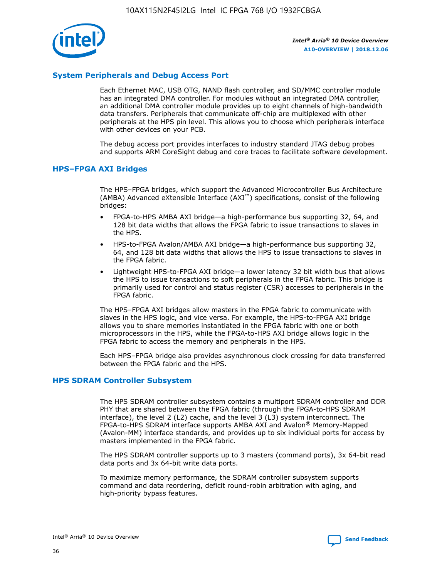

# **System Peripherals and Debug Access Port**

Each Ethernet MAC, USB OTG, NAND flash controller, and SD/MMC controller module has an integrated DMA controller. For modules without an integrated DMA controller, an additional DMA controller module provides up to eight channels of high-bandwidth data transfers. Peripherals that communicate off-chip are multiplexed with other peripherals at the HPS pin level. This allows you to choose which peripherals interface with other devices on your PCB.

The debug access port provides interfaces to industry standard JTAG debug probes and supports ARM CoreSight debug and core traces to facilitate software development.

## **HPS–FPGA AXI Bridges**

The HPS–FPGA bridges, which support the Advanced Microcontroller Bus Architecture (AMBA) Advanced eXtensible Interface (AXI™) specifications, consist of the following bridges:

- FPGA-to-HPS AMBA AXI bridge—a high-performance bus supporting 32, 64, and 128 bit data widths that allows the FPGA fabric to issue transactions to slaves in the HPS.
- HPS-to-FPGA Avalon/AMBA AXI bridge—a high-performance bus supporting 32, 64, and 128 bit data widths that allows the HPS to issue transactions to slaves in the FPGA fabric.
- Lightweight HPS-to-FPGA AXI bridge—a lower latency 32 bit width bus that allows the HPS to issue transactions to soft peripherals in the FPGA fabric. This bridge is primarily used for control and status register (CSR) accesses to peripherals in the FPGA fabric.

The HPS–FPGA AXI bridges allow masters in the FPGA fabric to communicate with slaves in the HPS logic, and vice versa. For example, the HPS-to-FPGA AXI bridge allows you to share memories instantiated in the FPGA fabric with one or both microprocessors in the HPS, while the FPGA-to-HPS AXI bridge allows logic in the FPGA fabric to access the memory and peripherals in the HPS.

Each HPS–FPGA bridge also provides asynchronous clock crossing for data transferred between the FPGA fabric and the HPS.

## **HPS SDRAM Controller Subsystem**

The HPS SDRAM controller subsystem contains a multiport SDRAM controller and DDR PHY that are shared between the FPGA fabric (through the FPGA-to-HPS SDRAM interface), the level 2 (L2) cache, and the level 3 (L3) system interconnect. The FPGA-to-HPS SDRAM interface supports AMBA AXI and Avalon® Memory-Mapped (Avalon-MM) interface standards, and provides up to six individual ports for access by masters implemented in the FPGA fabric.

The HPS SDRAM controller supports up to 3 masters (command ports), 3x 64-bit read data ports and 3x 64-bit write data ports.

To maximize memory performance, the SDRAM controller subsystem supports command and data reordering, deficit round-robin arbitration with aging, and high-priority bypass features.

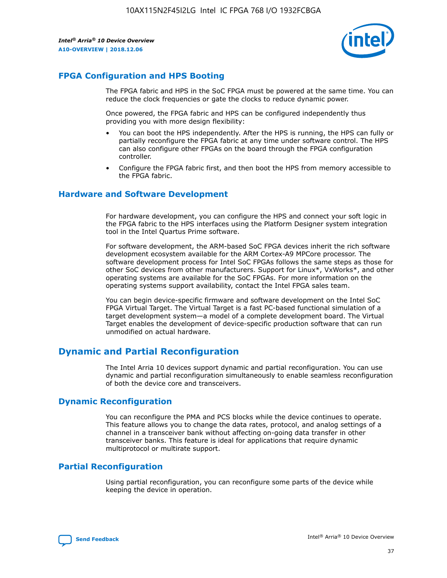

# **FPGA Configuration and HPS Booting**

The FPGA fabric and HPS in the SoC FPGA must be powered at the same time. You can reduce the clock frequencies or gate the clocks to reduce dynamic power.

Once powered, the FPGA fabric and HPS can be configured independently thus providing you with more design flexibility:

- You can boot the HPS independently. After the HPS is running, the HPS can fully or partially reconfigure the FPGA fabric at any time under software control. The HPS can also configure other FPGAs on the board through the FPGA configuration controller.
- Configure the FPGA fabric first, and then boot the HPS from memory accessible to the FPGA fabric.

## **Hardware and Software Development**

For hardware development, you can configure the HPS and connect your soft logic in the FPGA fabric to the HPS interfaces using the Platform Designer system integration tool in the Intel Quartus Prime software.

For software development, the ARM-based SoC FPGA devices inherit the rich software development ecosystem available for the ARM Cortex-A9 MPCore processor. The software development process for Intel SoC FPGAs follows the same steps as those for other SoC devices from other manufacturers. Support for Linux\*, VxWorks\*, and other operating systems are available for the SoC FPGAs. For more information on the operating systems support availability, contact the Intel FPGA sales team.

You can begin device-specific firmware and software development on the Intel SoC FPGA Virtual Target. The Virtual Target is a fast PC-based functional simulation of a target development system—a model of a complete development board. The Virtual Target enables the development of device-specific production software that can run unmodified on actual hardware.

# **Dynamic and Partial Reconfiguration**

The Intel Arria 10 devices support dynamic and partial reconfiguration. You can use dynamic and partial reconfiguration simultaneously to enable seamless reconfiguration of both the device core and transceivers.

# **Dynamic Reconfiguration**

You can reconfigure the PMA and PCS blocks while the device continues to operate. This feature allows you to change the data rates, protocol, and analog settings of a channel in a transceiver bank without affecting on-going data transfer in other transceiver banks. This feature is ideal for applications that require dynamic multiprotocol or multirate support.

# **Partial Reconfiguration**

Using partial reconfiguration, you can reconfigure some parts of the device while keeping the device in operation.

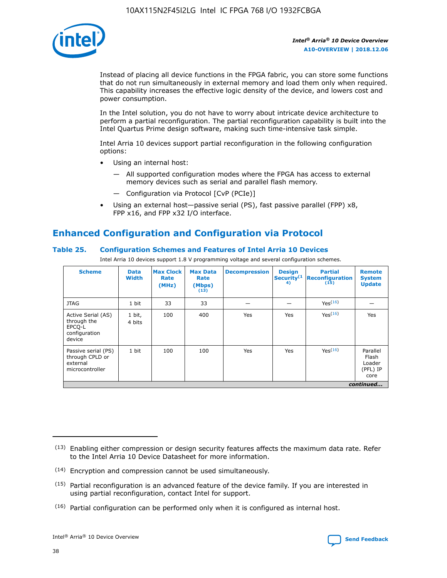

Instead of placing all device functions in the FPGA fabric, you can store some functions that do not run simultaneously in external memory and load them only when required. This capability increases the effective logic density of the device, and lowers cost and power consumption.

In the Intel solution, you do not have to worry about intricate device architecture to perform a partial reconfiguration. The partial reconfiguration capability is built into the Intel Quartus Prime design software, making such time-intensive task simple.

Intel Arria 10 devices support partial reconfiguration in the following configuration options:

- Using an internal host:
	- All supported configuration modes where the FPGA has access to external memory devices such as serial and parallel flash memory.
	- Configuration via Protocol [CvP (PCIe)]
- Using an external host—passive serial (PS), fast passive parallel (FPP) x8, FPP x16, and FPP x32 I/O interface.

# **Enhanced Configuration and Configuration via Protocol**

## **Table 25. Configuration Schemes and Features of Intel Arria 10 Devices**

Intel Arria 10 devices support 1.8 V programming voltage and several configuration schemes.

| <b>Scheme</b>                                                          | <b>Data</b><br><b>Width</b> | <b>Max Clock</b><br>Rate<br>(MHz) | <b>Max Data</b><br>Rate<br>(Mbps)<br>(13) | <b>Decompression</b> | <b>Design</b><br>Security <sup>(1</sup><br>4) | <b>Partial</b><br><b>Reconfiguration</b><br>(15) | <b>Remote</b><br><b>System</b><br><b>Update</b> |
|------------------------------------------------------------------------|-----------------------------|-----------------------------------|-------------------------------------------|----------------------|-----------------------------------------------|--------------------------------------------------|-------------------------------------------------|
| <b>JTAG</b>                                                            | 1 bit                       | 33                                | 33                                        |                      |                                               | Yes(16)                                          |                                                 |
| Active Serial (AS)<br>through the<br>EPCO-L<br>configuration<br>device | 1 bit,<br>4 bits            | 100                               | 400                                       | Yes                  | Yes                                           | $Y_{PS}(16)$                                     | Yes                                             |
| Passive serial (PS)<br>through CPLD or<br>external<br>microcontroller  | 1 bit                       | 100                               | 100                                       | Yes                  | Yes                                           | Yes(16)                                          | Parallel<br>Flash<br>Loader<br>(PFL) IP<br>core |
|                                                                        |                             |                                   |                                           |                      |                                               |                                                  | continued                                       |

<sup>(13)</sup> Enabling either compression or design security features affects the maximum data rate. Refer to the Intel Arria 10 Device Datasheet for more information.

<sup>(14)</sup> Encryption and compression cannot be used simultaneously.

 $<sup>(15)</sup>$  Partial reconfiguration is an advanced feature of the device family. If you are interested in</sup> using partial reconfiguration, contact Intel for support.

 $(16)$  Partial configuration can be performed only when it is configured as internal host.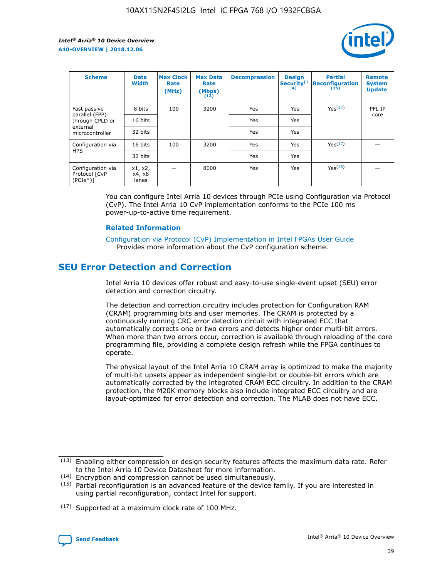

| <b>Scheme</b>                                     | <b>Data</b><br><b>Width</b> | <b>Max Clock</b><br>Rate<br>(MHz) | <b>Max Data</b><br>Rate<br>(Mbps)<br>(13) | <b>Decompression</b> | <b>Design</b><br>Security <sup>(1</sup><br>4) | <b>Partial</b><br><b>Reconfiguration</b><br>(15) | <b>Remote</b><br><b>System</b><br><b>Update</b> |
|---------------------------------------------------|-----------------------------|-----------------------------------|-------------------------------------------|----------------------|-----------------------------------------------|--------------------------------------------------|-------------------------------------------------|
| Fast passive                                      | 8 bits                      | 100                               | 3200                                      | Yes                  | Yes                                           | Yes(17)                                          | PFL IP                                          |
| parallel (FPP)<br>through CPLD or                 | 16 bits                     |                                   |                                           | Yes                  | Yes                                           |                                                  | core                                            |
| external<br>microcontroller                       | 32 bits                     |                                   |                                           | Yes                  | Yes                                           |                                                  |                                                 |
| Configuration via                                 | 16 bits                     | 100                               | 3200                                      | Yes                  | Yes                                           | Yes <sup>(17)</sup>                              |                                                 |
| <b>HPS</b>                                        | 32 bits                     |                                   |                                           | Yes                  | Yes                                           |                                                  |                                                 |
| Configuration via<br>Protocol [CvP<br>$(PCIe*)$ ] | x1, x2,<br>x4, x8<br>lanes  |                                   | 8000                                      | Yes                  | Yes                                           | Yes(16)                                          |                                                 |

You can configure Intel Arria 10 devices through PCIe using Configuration via Protocol (CvP). The Intel Arria 10 CvP implementation conforms to the PCIe 100 ms power-up-to-active time requirement.

#### **Related Information**

[Configuration via Protocol \(CvP\) Implementation in Intel FPGAs User Guide](https://www.intel.com/content/www/us/en/programmable/documentation/dsu1441819344145.html#dsu1442269728522) Provides more information about the CvP configuration scheme.

# **SEU Error Detection and Correction**

Intel Arria 10 devices offer robust and easy-to-use single-event upset (SEU) error detection and correction circuitry.

The detection and correction circuitry includes protection for Configuration RAM (CRAM) programming bits and user memories. The CRAM is protected by a continuously running CRC error detection circuit with integrated ECC that automatically corrects one or two errors and detects higher order multi-bit errors. When more than two errors occur, correction is available through reloading of the core programming file, providing a complete design refresh while the FPGA continues to operate.

The physical layout of the Intel Arria 10 CRAM array is optimized to make the majority of multi-bit upsets appear as independent single-bit or double-bit errors which are automatically corrected by the integrated CRAM ECC circuitry. In addition to the CRAM protection, the M20K memory blocks also include integrated ECC circuitry and are layout-optimized for error detection and correction. The MLAB does not have ECC.

(14) Encryption and compression cannot be used simultaneously.

<sup>(17)</sup> Supported at a maximum clock rate of 100 MHz.



 $(13)$  Enabling either compression or design security features affects the maximum data rate. Refer to the Intel Arria 10 Device Datasheet for more information.

 $(15)$  Partial reconfiguration is an advanced feature of the device family. If you are interested in using partial reconfiguration, contact Intel for support.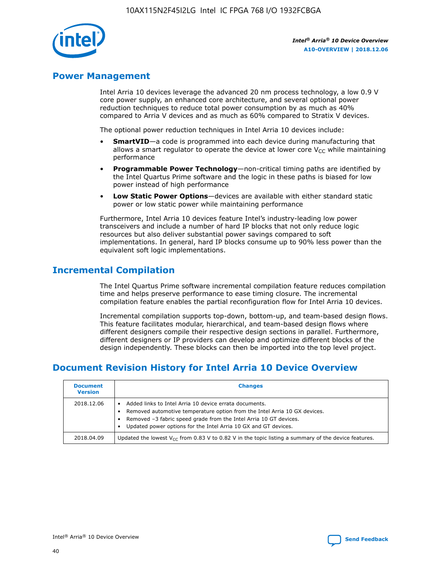

# **Power Management**

Intel Arria 10 devices leverage the advanced 20 nm process technology, a low 0.9 V core power supply, an enhanced core architecture, and several optional power reduction techniques to reduce total power consumption by as much as 40% compared to Arria V devices and as much as 60% compared to Stratix V devices.

The optional power reduction techniques in Intel Arria 10 devices include:

- **SmartVID**—a code is programmed into each device during manufacturing that allows a smart regulator to operate the device at lower core  $V_{CC}$  while maintaining performance
- **Programmable Power Technology**—non-critical timing paths are identified by the Intel Quartus Prime software and the logic in these paths is biased for low power instead of high performance
- **Low Static Power Options**—devices are available with either standard static power or low static power while maintaining performance

Furthermore, Intel Arria 10 devices feature Intel's industry-leading low power transceivers and include a number of hard IP blocks that not only reduce logic resources but also deliver substantial power savings compared to soft implementations. In general, hard IP blocks consume up to 90% less power than the equivalent soft logic implementations.

# **Incremental Compilation**

The Intel Quartus Prime software incremental compilation feature reduces compilation time and helps preserve performance to ease timing closure. The incremental compilation feature enables the partial reconfiguration flow for Intel Arria 10 devices.

Incremental compilation supports top-down, bottom-up, and team-based design flows. This feature facilitates modular, hierarchical, and team-based design flows where different designers compile their respective design sections in parallel. Furthermore, different designers or IP providers can develop and optimize different blocks of the design independently. These blocks can then be imported into the top level project.

# **Document Revision History for Intel Arria 10 Device Overview**

| <b>Document</b><br><b>Version</b> | <b>Changes</b>                                                                                                                                                                                                                                                              |
|-----------------------------------|-----------------------------------------------------------------------------------------------------------------------------------------------------------------------------------------------------------------------------------------------------------------------------|
| 2018.12.06                        | Added links to Intel Arria 10 device errata documents.<br>Removed automotive temperature option from the Intel Arria 10 GX devices.<br>Removed -3 fabric speed grade from the Intel Arria 10 GT devices.<br>Updated power options for the Intel Arria 10 GX and GT devices. |
| 2018.04.09                        | Updated the lowest $V_{CC}$ from 0.83 V to 0.82 V in the topic listing a summary of the device features.                                                                                                                                                                    |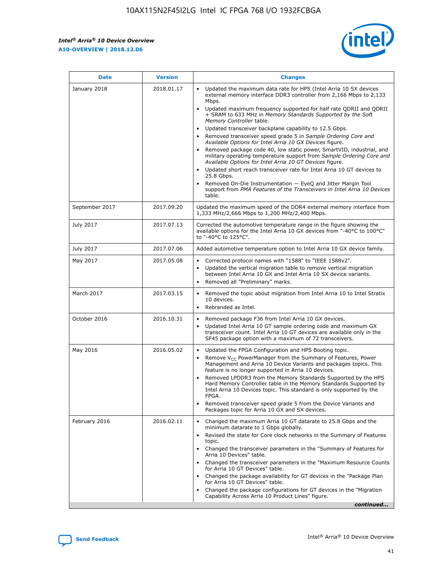

| <b>Date</b>    | <b>Version</b> | <b>Changes</b>                                                                                                                                                                                                                                                                                                                                                                                                                                                                                                                                                                                                                                                                                                                                                                                                                                                                                                                                               |
|----------------|----------------|--------------------------------------------------------------------------------------------------------------------------------------------------------------------------------------------------------------------------------------------------------------------------------------------------------------------------------------------------------------------------------------------------------------------------------------------------------------------------------------------------------------------------------------------------------------------------------------------------------------------------------------------------------------------------------------------------------------------------------------------------------------------------------------------------------------------------------------------------------------------------------------------------------------------------------------------------------------|
| January 2018   | 2018.01.17     | Updated the maximum data rate for HPS (Intel Arria 10 SX devices<br>external memory interface DDR3 controller from 2,166 Mbps to 2,133<br>Mbps.<br>Updated maximum frequency supported for half rate QDRII and QDRII<br>+ SRAM to 633 MHz in Memory Standards Supported by the Soft<br>Memory Controller table.<br>Updated transceiver backplane capability to 12.5 Gbps.<br>Removed transceiver speed grade 5 in Sample Ordering Core and<br>Available Options for Intel Arria 10 GX Devices figure.<br>Removed package code 40, low static power, SmartVID, industrial, and<br>military operating temperature support from Sample Ordering Core and<br>Available Options for Intel Arria 10 GT Devices figure.<br>Updated short reach transceiver rate for Intel Arria 10 GT devices to<br>25.8 Gbps.<br>Removed On-Die Instrumentation - EyeQ and Jitter Margin Tool<br>support from PMA Features of the Transceivers in Intel Arria 10 Devices<br>table. |
| September 2017 | 2017.09.20     | Updated the maximum speed of the DDR4 external memory interface from<br>1,333 MHz/2,666 Mbps to 1,200 MHz/2,400 Mbps.                                                                                                                                                                                                                                                                                                                                                                                                                                                                                                                                                                                                                                                                                                                                                                                                                                        |
| July 2017      | 2017.07.13     | Corrected the automotive temperature range in the figure showing the<br>available options for the Intel Arria 10 GX devices from "-40°C to 100°C"<br>to "-40°C to 125°C".                                                                                                                                                                                                                                                                                                                                                                                                                                                                                                                                                                                                                                                                                                                                                                                    |
| July 2017      | 2017.07.06     | Added automotive temperature option to Intel Arria 10 GX device family.                                                                                                                                                                                                                                                                                                                                                                                                                                                                                                                                                                                                                                                                                                                                                                                                                                                                                      |
| May 2017       | 2017.05.08     | Corrected protocol names with "1588" to "IEEE 1588v2".<br>$\bullet$<br>Updated the vertical migration table to remove vertical migration<br>$\bullet$<br>between Intel Arria 10 GX and Intel Arria 10 SX device variants.<br>Removed all "Preliminary" marks.<br>$\bullet$                                                                                                                                                                                                                                                                                                                                                                                                                                                                                                                                                                                                                                                                                   |
| March 2017     | 2017.03.15     | Removed the topic about migration from Intel Arria 10 to Intel Stratix<br>$\bullet$<br>10 devices.<br>Rebranded as Intel.<br>$\bullet$                                                                                                                                                                                                                                                                                                                                                                                                                                                                                                                                                                                                                                                                                                                                                                                                                       |
| October 2016   | 2016.10.31     | Removed package F36 from Intel Arria 10 GX devices.<br>Updated Intel Arria 10 GT sample ordering code and maximum GX<br>$\bullet$<br>transceiver count. Intel Arria 10 GT devices are available only in the<br>SF45 package option with a maximum of 72 transceivers.                                                                                                                                                                                                                                                                                                                                                                                                                                                                                                                                                                                                                                                                                        |
| May 2016       | 2016.05.02     | Updated the FPGA Configuration and HPS Booting topic.<br>$\bullet$<br>Remove V <sub>CC</sub> PowerManager from the Summary of Features, Power<br>Management and Arria 10 Device Variants and packages topics. This<br>feature is no longer supported in Arria 10 devices.<br>Removed LPDDR3 from the Memory Standards Supported by the HPS<br>Hard Memory Controller table in the Memory Standards Supported by<br>Intel Arria 10 Devices topic. This standard is only supported by the<br><b>FPGA</b><br>Removed transceiver speed grade 5 from the Device Variants and<br>Packages topic for Arria 10 GX and SX devices.                                                                                                                                                                                                                                                                                                                                   |
| February 2016  | 2016.02.11     | Changed the maximum Arria 10 GT datarate to 25.8 Gbps and the<br>$\bullet$<br>minimum datarate to 1 Gbps globally.<br>Revised the state for Core clock networks in the Summary of Features<br>$\bullet$<br>topic.<br>Changed the transceiver parameters in the "Summary of Features for<br>$\bullet$<br>Arria 10 Devices" table.<br>Changed the transceiver parameters in the "Maximum Resource Counts<br>for Arria 10 GT Devices" table.<br>Changed the package availability for GT devices in the "Package Plan<br>for Arria 10 GT Devices" table.<br>Changed the package configurations for GT devices in the "Migration"<br>Capability Across Arria 10 Product Lines" figure.<br>continued                                                                                                                                                                                                                                                               |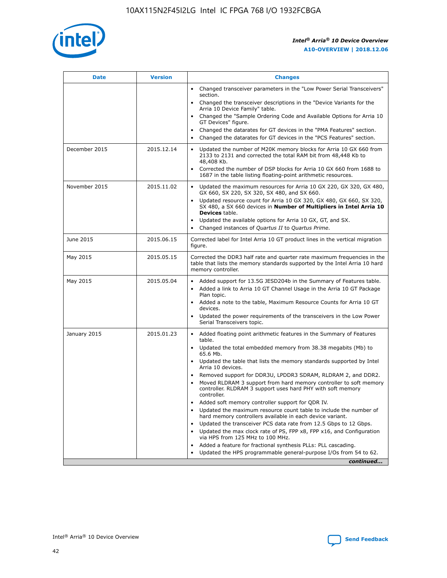

| <b>Date</b>   | <b>Version</b> | <b>Changes</b>                                                                                                                                                               |
|---------------|----------------|------------------------------------------------------------------------------------------------------------------------------------------------------------------------------|
|               |                | • Changed transceiver parameters in the "Low Power Serial Transceivers"<br>section.                                                                                          |
|               |                | • Changed the transceiver descriptions in the "Device Variants for the<br>Arria 10 Device Family" table.                                                                     |
|               |                | Changed the "Sample Ordering Code and Available Options for Arria 10<br>$\bullet$<br>GT Devices" figure.                                                                     |
|               |                | Changed the datarates for GT devices in the "PMA Features" section.                                                                                                          |
|               |                | Changed the datarates for GT devices in the "PCS Features" section.<br>$\bullet$                                                                                             |
| December 2015 | 2015.12.14     | Updated the number of M20K memory blocks for Arria 10 GX 660 from<br>2133 to 2131 and corrected the total RAM bit from 48,448 Kb to<br>48,408 Kb.                            |
|               |                | Corrected the number of DSP blocks for Arria 10 GX 660 from 1688 to<br>1687 in the table listing floating-point arithmetic resources.                                        |
| November 2015 | 2015.11.02     | Updated the maximum resources for Arria 10 GX 220, GX 320, GX 480,<br>$\bullet$<br>GX 660, SX 220, SX 320, SX 480, and SX 660.                                               |
|               |                | • Updated resource count for Arria 10 GX 320, GX 480, GX 660, SX 320,<br>SX 480, a SX 660 devices in Number of Multipliers in Intel Arria 10<br><b>Devices</b> table.        |
|               |                | Updated the available options for Arria 10 GX, GT, and SX.                                                                                                                   |
|               |                | Changed instances of Quartus II to Quartus Prime.<br>$\bullet$                                                                                                               |
| June 2015     | 2015.06.15     | Corrected label for Intel Arria 10 GT product lines in the vertical migration<br>figure.                                                                                     |
| May 2015      | 2015.05.15     | Corrected the DDR3 half rate and quarter rate maximum frequencies in the<br>table that lists the memory standards supported by the Intel Arria 10 hard<br>memory controller. |
| May 2015      | 2015.05.04     | • Added support for 13.5G JESD204b in the Summary of Features table.                                                                                                         |
|               |                | • Added a link to Arria 10 GT Channel Usage in the Arria 10 GT Package<br>Plan topic.                                                                                        |
|               |                | • Added a note to the table, Maximum Resource Counts for Arria 10 GT<br>devices.                                                                                             |
|               |                | • Updated the power requirements of the transceivers in the Low Power<br>Serial Transceivers topic.                                                                          |
| January 2015  | 2015.01.23     | • Added floating point arithmetic features in the Summary of Features<br>table.                                                                                              |
|               |                | • Updated the total embedded memory from 38.38 megabits (Mb) to<br>65.6 Mb.                                                                                                  |
|               |                | • Updated the table that lists the memory standards supported by Intel<br>Arria 10 devices.                                                                                  |
|               |                | Removed support for DDR3U, LPDDR3 SDRAM, RLDRAM 2, and DDR2.                                                                                                                 |
|               |                | Moved RLDRAM 3 support from hard memory controller to soft memory<br>controller. RLDRAM 3 support uses hard PHY with soft memory<br>controller.                              |
|               |                | Added soft memory controller support for QDR IV.<br>٠                                                                                                                        |
|               |                | Updated the maximum resource count table to include the number of<br>hard memory controllers available in each device variant.                                               |
|               |                | Updated the transceiver PCS data rate from 12.5 Gbps to 12 Gbps.<br>$\bullet$                                                                                                |
|               |                | Updated the max clock rate of PS, FPP x8, FPP x16, and Configuration<br>via HPS from 125 MHz to 100 MHz.                                                                     |
|               |                | Added a feature for fractional synthesis PLLs: PLL cascading.                                                                                                                |
|               |                | Updated the HPS programmable general-purpose I/Os from 54 to 62.<br>$\bullet$                                                                                                |
|               |                | continued                                                                                                                                                                    |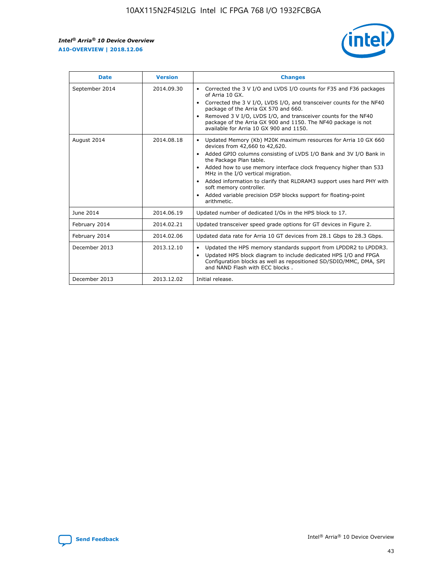r



| <b>Date</b>    | <b>Version</b> | <b>Changes</b>                                                                                                                                                                                                                                                                                                                                                                                                                                                                                                                         |
|----------------|----------------|----------------------------------------------------------------------------------------------------------------------------------------------------------------------------------------------------------------------------------------------------------------------------------------------------------------------------------------------------------------------------------------------------------------------------------------------------------------------------------------------------------------------------------------|
| September 2014 | 2014.09.30     | Corrected the 3 V I/O and LVDS I/O counts for F35 and F36 packages<br>of Arria 10 GX.<br>Corrected the 3 V I/O, LVDS I/O, and transceiver counts for the NF40<br>$\bullet$<br>package of the Arria GX 570 and 660.<br>Removed 3 V I/O, LVDS I/O, and transceiver counts for the NF40<br>package of the Arria GX 900 and 1150. The NF40 package is not<br>available for Arria 10 GX 900 and 1150.                                                                                                                                       |
| August 2014    | 2014.08.18     | Updated Memory (Kb) M20K maximum resources for Arria 10 GX 660<br>devices from 42,660 to 42,620.<br>Added GPIO columns consisting of LVDS I/O Bank and 3V I/O Bank in<br>$\bullet$<br>the Package Plan table.<br>Added how to use memory interface clock frequency higher than 533<br>$\bullet$<br>MHz in the I/O vertical migration.<br>Added information to clarify that RLDRAM3 support uses hard PHY with<br>$\bullet$<br>soft memory controller.<br>Added variable precision DSP blocks support for floating-point<br>arithmetic. |
| June 2014      | 2014.06.19     | Updated number of dedicated I/Os in the HPS block to 17.                                                                                                                                                                                                                                                                                                                                                                                                                                                                               |
| February 2014  | 2014.02.21     | Updated transceiver speed grade options for GT devices in Figure 2.                                                                                                                                                                                                                                                                                                                                                                                                                                                                    |
| February 2014  | 2014.02.06     | Updated data rate for Arria 10 GT devices from 28.1 Gbps to 28.3 Gbps.                                                                                                                                                                                                                                                                                                                                                                                                                                                                 |
| December 2013  | 2013.12.10     | Updated the HPS memory standards support from LPDDR2 to LPDDR3.<br>Updated HPS block diagram to include dedicated HPS I/O and FPGA<br>$\bullet$<br>Configuration blocks as well as repositioned SD/SDIO/MMC, DMA, SPI<br>and NAND Flash with ECC blocks.                                                                                                                                                                                                                                                                               |
| December 2013  | 2013.12.02     | Initial release.                                                                                                                                                                                                                                                                                                                                                                                                                                                                                                                       |